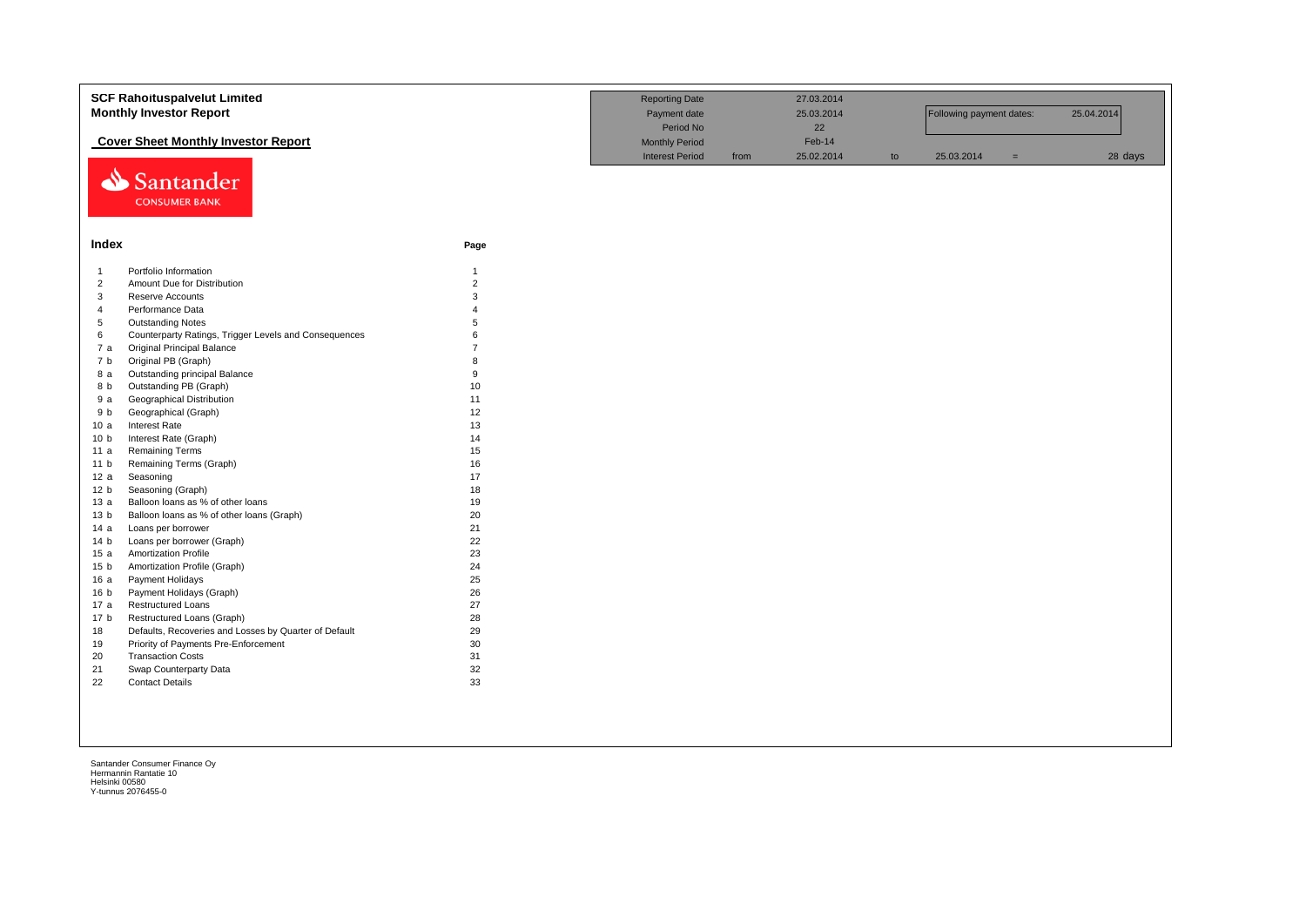|                 | <b>SCF Rahoituspalvelut Limited</b>                   |                | <b>Reporting Date</b>  |      | 27.03.2014 |    |                          |     |            |
|-----------------|-------------------------------------------------------|----------------|------------------------|------|------------|----|--------------------------|-----|------------|
|                 | <b>Monthly Investor Report</b>                        |                | Payment date           |      | 25.03.2014 |    | Following payment dates: |     | 25.04.2014 |
|                 |                                                       |                | Period No              |      | 22         |    |                          |     |            |
|                 | <b>Cover Sheet Monthly Investor Report</b>            |                | <b>Monthly Period</b>  |      | Feb-14     |    |                          |     |            |
|                 |                                                       |                | <b>Interest Period</b> | from | 25.02.2014 | to | 25.03.2014               | $=$ | 28 days    |
|                 | Santander<br><b>CONSUMER BANK</b>                     |                |                        |      |            |    |                          |     |            |
| Index           |                                                       | Page           |                        |      |            |    |                          |     |            |
| $\overline{1}$  | Portfolio Information                                 | $\mathbf{1}$   |                        |      |            |    |                          |     |            |
| $\overline{2}$  | Amount Due for Distribution                           | $\overline{2}$ |                        |      |            |    |                          |     |            |
| $\mathbf{3}$    | Reserve Accounts                                      | 3              |                        |      |            |    |                          |     |            |
| $\overline{4}$  | Performance Data                                      |                |                        |      |            |    |                          |     |            |
| 5               | <b>Outstanding Notes</b>                              | 5              |                        |      |            |    |                          |     |            |
| 6               | Counterparty Ratings, Trigger Levels and Consequences | 6              |                        |      |            |    |                          |     |            |
| 7 a             | <b>Original Principal Balance</b>                     | $\overline{7}$ |                        |      |            |    |                          |     |            |
| 7 b             | Original PB (Graph)                                   | 8              |                        |      |            |    |                          |     |            |
| 8 a             | Outstanding principal Balance                         | 9              |                        |      |            |    |                          |     |            |
| 8 b             | Outstanding PB (Graph)                                | 10             |                        |      |            |    |                          |     |            |
| 9a              | <b>Geographical Distribution</b>                      | 11             |                        |      |            |    |                          |     |            |
| 9 b             | Geographical (Graph)                                  | 12             |                        |      |            |    |                          |     |            |
| 10a             | Interest Rate                                         | 13             |                        |      |            |    |                          |     |            |
| 10 <sub>b</sub> | Interest Rate (Graph)                                 | 14             |                        |      |            |    |                          |     |            |
| 11a             | <b>Remaining Terms</b>                                | 15             |                        |      |            |    |                          |     |            |
| 11 <sub>b</sub> | Remaining Terms (Graph)                               | 16             |                        |      |            |    |                          |     |            |
| 12a             | Seasoning                                             | 17             |                        |      |            |    |                          |     |            |
| 12 <sub>b</sub> | Seasoning (Graph)                                     | 18             |                        |      |            |    |                          |     |            |
| 13a             | Balloon loans as % of other loans                     | 19             |                        |      |            |    |                          |     |            |
| 13 <sub>b</sub> | Balloon loans as % of other loans (Graph)             | 20             |                        |      |            |    |                          |     |            |
| 14 a            | Loans per borrower                                    | 21             |                        |      |            |    |                          |     |            |
| 14 <sub>b</sub> | Loans per borrower (Graph)                            | 22             |                        |      |            |    |                          |     |            |
| 15a             | <b>Amortization Profile</b>                           | 23             |                        |      |            |    |                          |     |            |
| 15 <sub>b</sub> | Amortization Profile (Graph)                          | 24             |                        |      |            |    |                          |     |            |
| 16a             | Payment Holidays                                      | 25             |                        |      |            |    |                          |     |            |
| 16 <sub>b</sub> | Payment Holidays (Graph)                              | 26             |                        |      |            |    |                          |     |            |
| 17 a            | <b>Restructured Loans</b>                             | 27             |                        |      |            |    |                          |     |            |
| 17 <sub>b</sub> | Restructured Loans (Graph)                            | 28             |                        |      |            |    |                          |     |            |
| 18              | Defaults, Recoveries and Losses by Quarter of Default | 29             |                        |      |            |    |                          |     |            |
| 19              | Priority of Payments Pre-Enforcement                  | 30             |                        |      |            |    |                          |     |            |
| 20              | <b>Transaction Costs</b>                              | 31             |                        |      |            |    |                          |     |            |
| 21              | Swap Counterparty Data                                | 32             |                        |      |            |    |                          |     |            |
| 22              | <b>Contact Details</b>                                | 33             |                        |      |            |    |                          |     |            |
|                 |                                                       |                |                        |      |            |    |                          |     |            |
|                 |                                                       |                |                        |      |            |    |                          |     |            |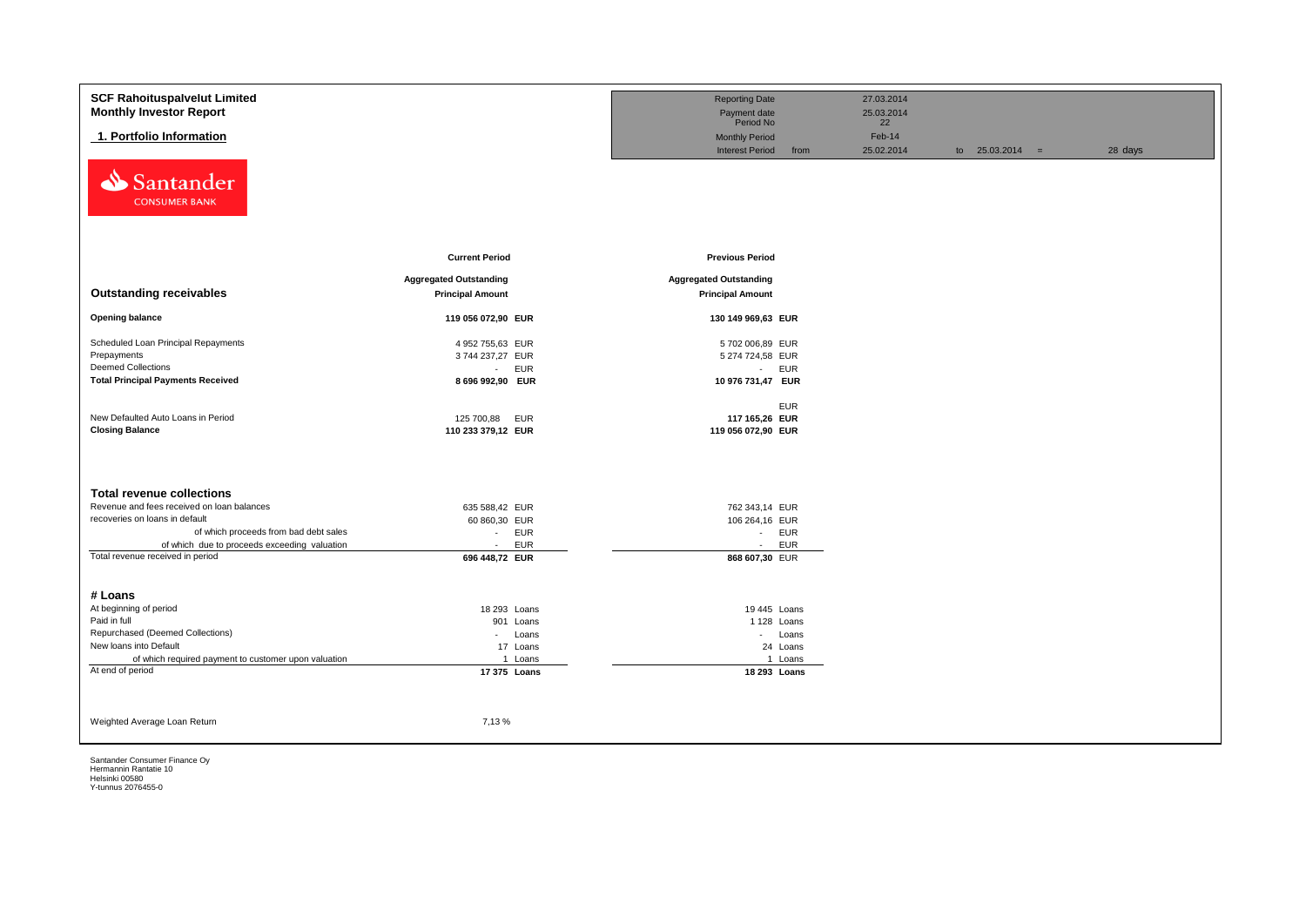| <b>SCF Rahoituspalvelut Limited</b>                  |                               | <b>Reporting Date</b>         | 27.03.2014         |                   |         |
|------------------------------------------------------|-------------------------------|-------------------------------|--------------------|-------------------|---------|
| <b>Monthly Investor Report</b>                       |                               | Payment date                  | 25.03.2014         |                   |         |
|                                                      |                               | Period No                     | 22                 |                   |         |
| 1. Portfolio Information                             |                               | <b>Monthly Period</b>         | Feb-14             |                   |         |
|                                                      |                               | <b>Interest Period</b>        | from<br>25.02.2014 | to $25.03.2014 =$ | 28 days |
| Santander<br>⇘<br><b>CONSUMER BANK</b>               |                               |                               |                    |                   |         |
|                                                      | <b>Current Period</b>         | <b>Previous Period</b>        |                    |                   |         |
|                                                      |                               |                               |                    |                   |         |
|                                                      | <b>Aggregated Outstanding</b> | <b>Aggregated Outstanding</b> |                    |                   |         |
| <b>Outstanding receivables</b>                       | <b>Principal Amount</b>       | <b>Principal Amount</b>       |                    |                   |         |
| <b>Opening balance</b>                               | 119 056 072,90 EUR            | 130 149 969,63 EUR            |                    |                   |         |
| Scheduled Loan Principal Repayments                  | 4 952 755,63 EUR              | 5702 006,89 EUR               |                    |                   |         |
| Prepayments                                          | 3744 237,27 EUR               | 5 274 724,58 EUR              |                    |                   |         |
| <b>Deemed Collections</b>                            | <b>EUR</b><br>$\sim 10$       | - EUR                         |                    |                   |         |
| <b>Total Principal Payments Received</b>             | 8 696 992,90 EUR              | 10 976 731,47 EUR             |                    |                   |         |
|                                                      |                               |                               |                    |                   |         |
| New Defaulted Auto Loans in Period                   | 125 700,88<br><b>EUR</b>      | <b>EUR</b><br>117 165,26 EUR  |                    |                   |         |
| <b>Closing Balance</b>                               | 110 233 379,12 EUR            | 119 056 072,90 EUR            |                    |                   |         |
|                                                      |                               |                               |                    |                   |         |
|                                                      |                               |                               |                    |                   |         |
| <b>Total revenue collections</b>                     |                               |                               |                    |                   |         |
| Revenue and fees received on loan balances           | 635 588,42 EUR                | 762 343,14 EUR                |                    |                   |         |
| recoveries on loans in default                       | 60 860,30 EUR                 | 106 264,16 EUR                |                    |                   |         |
| of which proceeds from bad debt sales                | EUR<br>$\sim$                 | - EUR                         |                    |                   |         |
| of which due to proceeds exceeding valuation         | <b>EUR</b><br>$\sim$          | <b>EUR</b><br>$\sim 10$       |                    |                   |         |
| Total revenue received in period                     | 696 448,72 EUR                | 868 607,30 EUR                |                    |                   |         |
|                                                      |                               |                               |                    |                   |         |
| # Loans                                              |                               |                               |                    |                   |         |
| At beginning of period                               | 18 293 Loans                  | 19 445 Loans                  |                    |                   |         |
| Paid in full<br>Repurchased (Deemed Collections)     | 901 Loans                     | 1 128 Loans                   |                    |                   |         |
| New loans into Default                               | Loans<br>$\sim 100$           | - Loans                       |                    |                   |         |
| of which required payment to customer upon valuation | 17 Loans<br>1 Loans           | 24 Loans<br>1 Loans           |                    |                   |         |
| At end of period                                     | 17 375 Loans                  | 18 293 Loans                  |                    |                   |         |
|                                                      |                               |                               |                    |                   |         |
|                                                      |                               |                               |                    |                   |         |
|                                                      |                               |                               |                    |                   |         |
| Weighted Average Loan Return                         | 7,13%                         |                               |                    |                   |         |
|                                                      |                               |                               |                    |                   |         |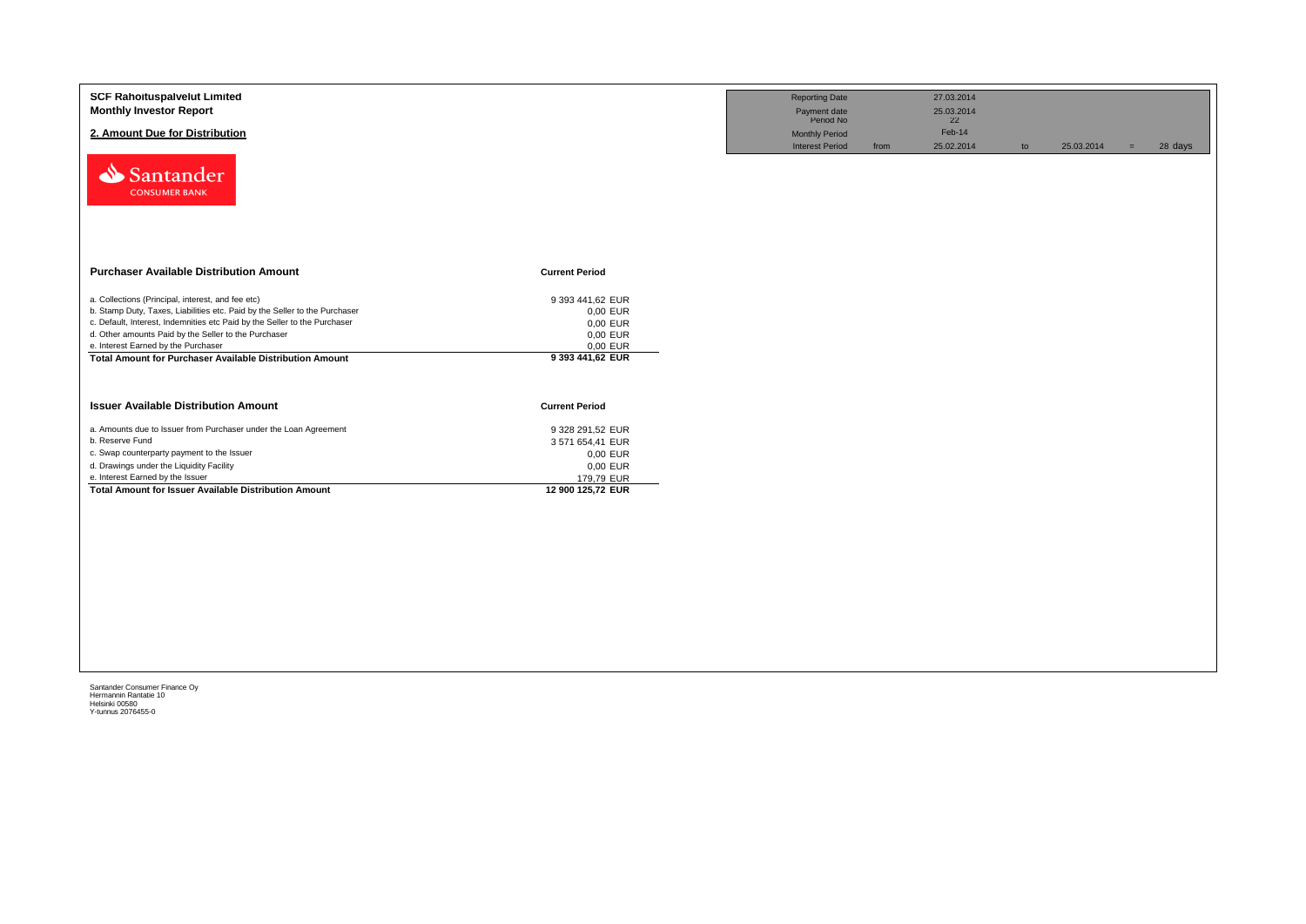| <b>SCF Rahoituspalvelut Limited</b><br><b>Monthly Investor Report</b><br>2. Amount Due for Distribution<br>Santander<br><b>CONSUMER BANK</b>                                                                                                                                                                                                                                   |                                                                                                 | <b>Reporting Date</b><br>Payment date<br>Period No<br><b>Monthly Period</b><br><b>Interest Period</b> | 27.03.2014<br>25.03.2014<br>22<br>Feb-14<br>25.02.2014<br>from | to | 25.03.2014 | 28 days<br>$=$ |
|--------------------------------------------------------------------------------------------------------------------------------------------------------------------------------------------------------------------------------------------------------------------------------------------------------------------------------------------------------------------------------|-------------------------------------------------------------------------------------------------|-------------------------------------------------------------------------------------------------------|----------------------------------------------------------------|----|------------|----------------|
| <b>Purchaser Available Distribution Amount</b>                                                                                                                                                                                                                                                                                                                                 | <b>Current Period</b>                                                                           |                                                                                                       |                                                                |    |            |                |
| a. Collections (Principal, interest, and fee etc)<br>b. Stamp Duty, Taxes, Liabilities etc. Paid by the Seller to the Purchaser<br>c. Default, Interest, Indemnities etc Paid by the Seller to the Purchaser<br>d. Other amounts Paid by the Seller to the Purchaser<br>e. Interest Earned by the Purchaser<br><b>Total Amount for Purchaser Available Distribution Amount</b> | 9 393 441,62 EUR<br>0,00 EUR<br>0,00 EUR<br>0,00 EUR<br>0,00 EUR<br>9 393 441,62 EUR            |                                                                                                       |                                                                |    |            |                |
| <b>Issuer Available Distribution Amount</b>                                                                                                                                                                                                                                                                                                                                    | <b>Current Period</b>                                                                           |                                                                                                       |                                                                |    |            |                |
| a. Amounts due to Issuer from Purchaser under the Loan Agreement<br>b. Reserve Fund<br>c. Swap counterparty payment to the Issuer<br>d. Drawings under the Liquidity Facility<br>e. Interest Earned by the Issuer<br>Total Amount for Issuer Available Distribution Amount                                                                                                     | 9 328 291,52 EUR<br>3 571 654,41 EUR<br>0,00 EUR<br>0,00 EUR<br>179,79 EUR<br>12 900 125,72 EUR |                                                                                                       |                                                                |    |            |                |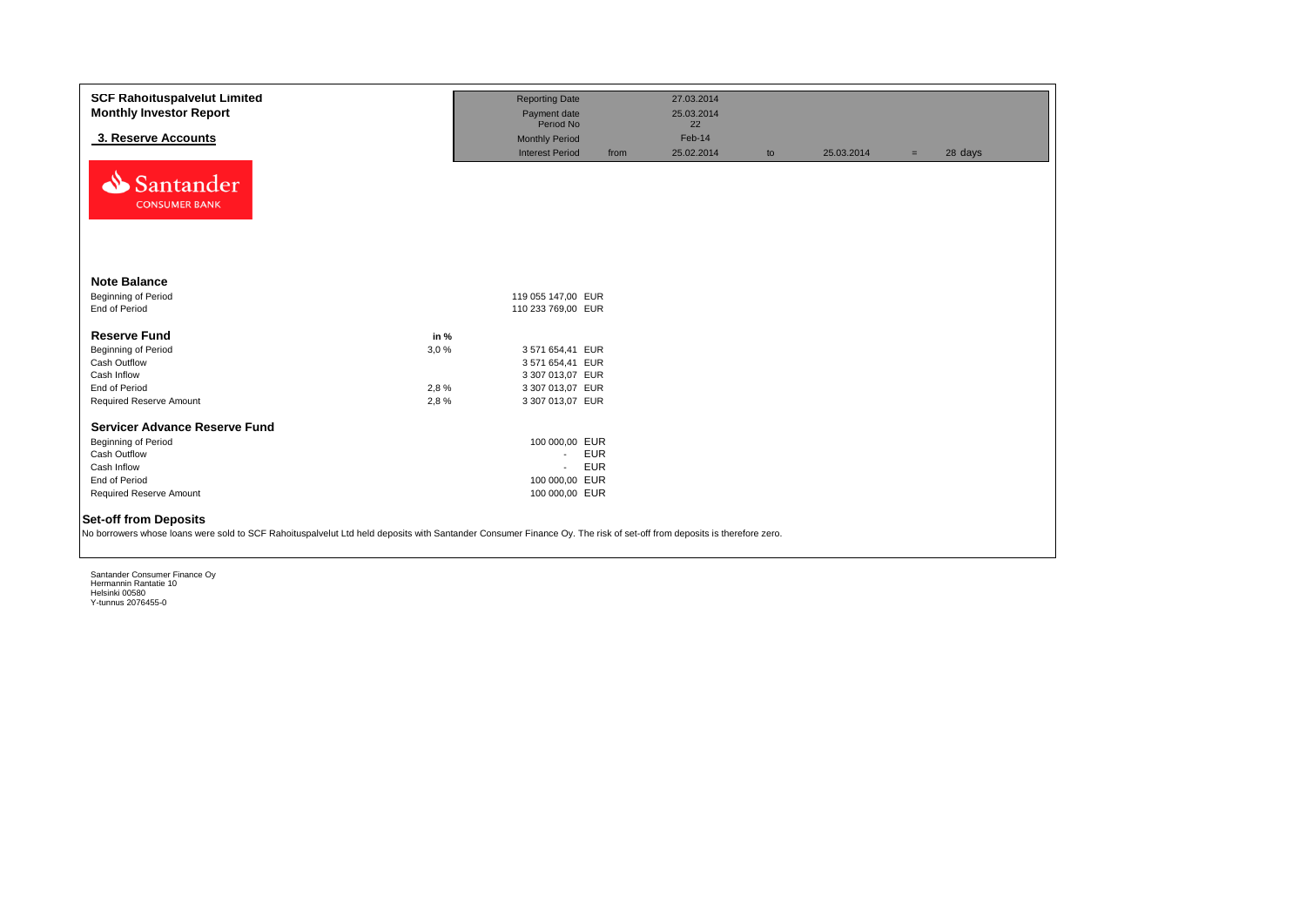| <b>SCF Rahoituspalvelut Limited</b><br><b>Monthly Investor Report</b>                                                                                                                                 |      | <b>Reporting Date</b><br>Payment date |            | 27.03.2014<br>25.03.2014 |    |            |     |         |
|-------------------------------------------------------------------------------------------------------------------------------------------------------------------------------------------------------|------|---------------------------------------|------------|--------------------------|----|------------|-----|---------|
|                                                                                                                                                                                                       |      | Period No                             |            | 22                       |    |            |     |         |
| 3. Reserve Accounts                                                                                                                                                                                   |      | <b>Monthly Period</b>                 |            | Feb-14                   |    |            |     |         |
| Santander<br><b>CONSUMER BANK</b>                                                                                                                                                                     |      | <b>Interest Period</b>                | from       | 25.02.2014               | to | 25.03.2014 | $=$ | 28 days |
| <b>Note Balance</b>                                                                                                                                                                                   |      |                                       |            |                          |    |            |     |         |
| <b>Beginning of Period</b>                                                                                                                                                                            |      | 119 055 147,00 EUR                    |            |                          |    |            |     |         |
| End of Period                                                                                                                                                                                         |      | 110 233 769,00 EUR                    |            |                          |    |            |     |         |
| <b>Reserve Fund</b>                                                                                                                                                                                   | in % |                                       |            |                          |    |            |     |         |
| <b>Beginning of Period</b>                                                                                                                                                                            | 3,0% | 3 571 654,41 EUR                      |            |                          |    |            |     |         |
| Cash Outflow                                                                                                                                                                                          |      | 3 571 654,41 EUR                      |            |                          |    |            |     |         |
| Cash Inflow                                                                                                                                                                                           |      | 3 307 013,07 EUR                      |            |                          |    |            |     |         |
| End of Period                                                                                                                                                                                         | 2,8% | 3 307 013,07 EUR                      |            |                          |    |            |     |         |
| Required Reserve Amount                                                                                                                                                                               | 2,8% | 3 307 013,07 EUR                      |            |                          |    |            |     |         |
| <b>Servicer Advance Reserve Fund</b>                                                                                                                                                                  |      |                                       |            |                          |    |            |     |         |
| Beginning of Period                                                                                                                                                                                   |      | 100 000,00 EUR                        |            |                          |    |            |     |         |
| Cash Outflow                                                                                                                                                                                          |      | $\sim$                                | <b>EUR</b> |                          |    |            |     |         |
| Cash Inflow                                                                                                                                                                                           |      | $\blacksquare$                        | <b>EUR</b> |                          |    |            |     |         |
| End of Period                                                                                                                                                                                         |      | 100 000,00 EUR                        |            |                          |    |            |     |         |
| Required Reserve Amount                                                                                                                                                                               |      | 100 000,00 EUR                        |            |                          |    |            |     |         |
| <b>Set-off from Deposits</b><br>No borrowers whose loans were sold to SCF Rahoituspalvelut Ltd held deposits with Santander Consumer Finance Oy. The risk of set-off from deposits is therefore zero. |      |                                       |            |                          |    |            |     |         |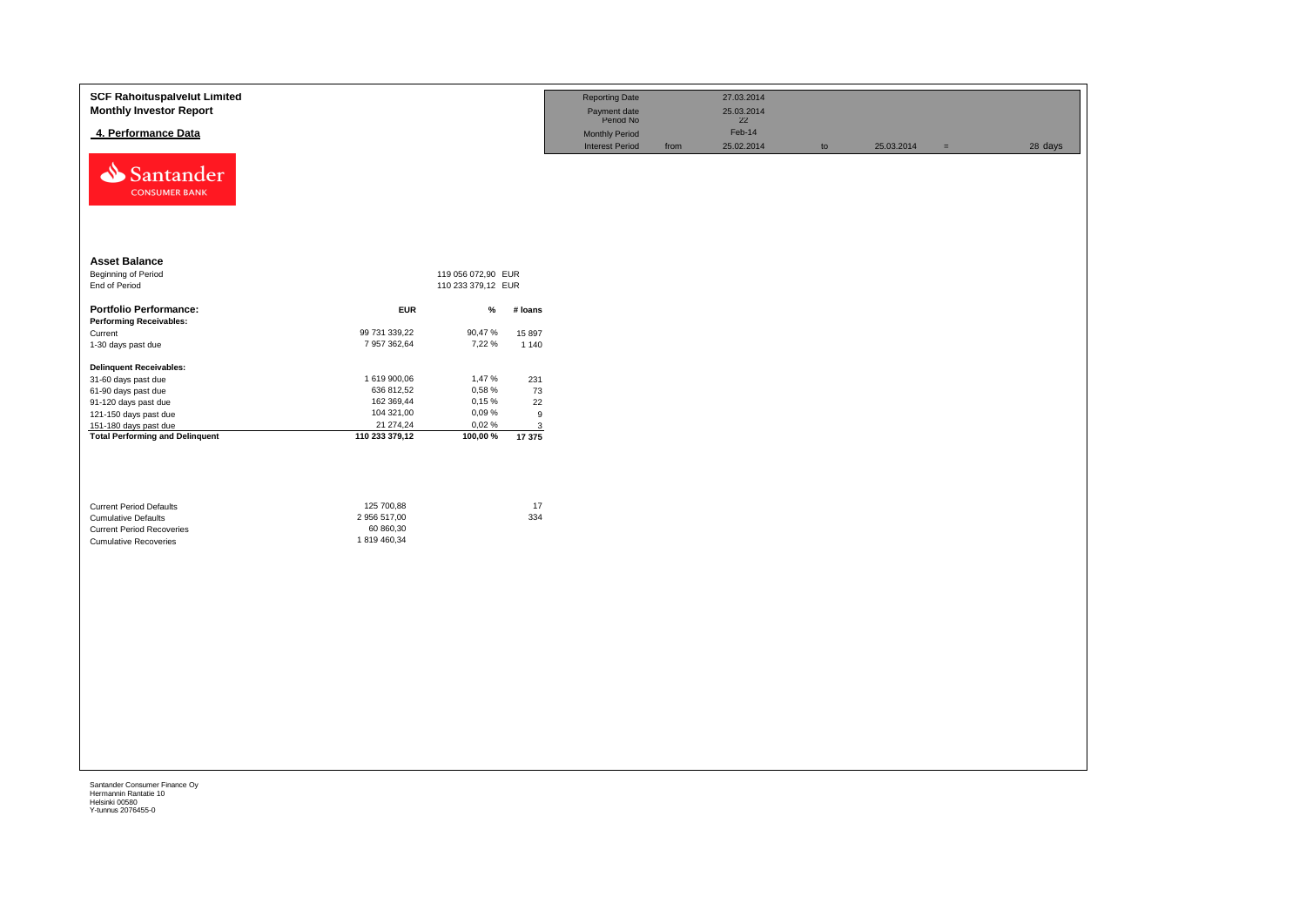| <b>SCF Rahoituspalvelut Limited</b><br><b>Monthly Investor Report</b><br>4. Performance Data |                               |                    |                   | <b>Reporting Date</b><br>Payment date<br>Period No<br><b>Monthly Period</b><br><b>Interest Period</b> | from | 27.03.2014<br>25.03.2014<br>22<br>Feb-14<br>25.02.2014 | $\mathsf{to}$ | 25.03.2014 | $=$ | 28 days |
|----------------------------------------------------------------------------------------------|-------------------------------|--------------------|-------------------|-------------------------------------------------------------------------------------------------------|------|--------------------------------------------------------|---------------|------------|-----|---------|
| Santander<br><b>CONSUMER BANK</b>                                                            |                               |                    |                   |                                                                                                       |      |                                                        |               |            |     |         |
| <b>Asset Balance</b>                                                                         |                               |                    |                   |                                                                                                       |      |                                                        |               |            |     |         |
| Beginning of Period                                                                          |                               | 119 056 072,90 EUR |                   |                                                                                                       |      |                                                        |               |            |     |         |
| End of Period                                                                                |                               | 110 233 379,12 EUR |                   |                                                                                                       |      |                                                        |               |            |     |         |
| <b>Portfolio Performance:</b><br><b>Performing Receivables:</b>                              | <b>EUR</b>                    | $\%$               | # loans           |                                                                                                       |      |                                                        |               |            |     |         |
| Current                                                                                      | 99 731 339,22<br>7 957 362,64 | 90,47%<br>7,22 %   | 15 897<br>1 1 4 0 |                                                                                                       |      |                                                        |               |            |     |         |
| 1-30 days past due                                                                           |                               |                    |                   |                                                                                                       |      |                                                        |               |            |     |         |
| <b>Delinquent Receivables:</b>                                                               |                               |                    |                   |                                                                                                       |      |                                                        |               |            |     |         |
| 31-60 days past due<br>61-90 days past due                                                   | 1 619 900,06<br>636 812,52    | 1,47%<br>0,58%     | 231<br>73         |                                                                                                       |      |                                                        |               |            |     |         |
| 91-120 days past due                                                                         | 162 369,44                    | 0,15%              | 22                |                                                                                                       |      |                                                        |               |            |     |         |
| 121-150 days past due                                                                        | 104 321,00                    | 0,09%              | 9                 |                                                                                                       |      |                                                        |               |            |     |         |
| 151-180 days past due                                                                        | 21 274,24                     | 0,02%              | $\mathbf{3}$      |                                                                                                       |      |                                                        |               |            |     |         |
| <b>Total Performing and Delinquent</b>                                                       | 110 233 379,12                | 100,00%            | 17 375            |                                                                                                       |      |                                                        |               |            |     |         |
|                                                                                              |                               |                    |                   |                                                                                                       |      |                                                        |               |            |     |         |
|                                                                                              |                               |                    |                   |                                                                                                       |      |                                                        |               |            |     |         |
| <b>Current Period Defaults</b><br><b>Cumulative Defaults</b>                                 | 125 700,88<br>2 956 517,00    |                    | 17<br>334         |                                                                                                       |      |                                                        |               |            |     |         |
| <b>Current Period Recoveries</b>                                                             | 60 860,30                     |                    |                   |                                                                                                       |      |                                                        |               |            |     |         |
| <b>Cumulative Recoveries</b>                                                                 | 1819 460,34                   |                    |                   |                                                                                                       |      |                                                        |               |            |     |         |
|                                                                                              |                               |                    |                   |                                                                                                       |      |                                                        |               |            |     |         |
|                                                                                              |                               |                    |                   |                                                                                                       |      |                                                        |               |            |     |         |
|                                                                                              |                               |                    |                   |                                                                                                       |      |                                                        |               |            |     |         |
|                                                                                              |                               |                    |                   |                                                                                                       |      |                                                        |               |            |     |         |
|                                                                                              |                               |                    |                   |                                                                                                       |      |                                                        |               |            |     |         |
|                                                                                              |                               |                    |                   |                                                                                                       |      |                                                        |               |            |     |         |
|                                                                                              |                               |                    |                   |                                                                                                       |      |                                                        |               |            |     |         |
|                                                                                              |                               |                    |                   |                                                                                                       |      |                                                        |               |            |     |         |
|                                                                                              |                               |                    |                   |                                                                                                       |      |                                                        |               |            |     |         |
|                                                                                              |                               |                    |                   |                                                                                                       |      |                                                        |               |            |     |         |
|                                                                                              |                               |                    |                   |                                                                                                       |      |                                                        |               |            |     |         |
|                                                                                              |                               |                    |                   |                                                                                                       |      |                                                        |               |            |     |         |
|                                                                                              |                               |                    |                   |                                                                                                       |      |                                                        |               |            |     |         |
|                                                                                              |                               |                    |                   |                                                                                                       |      |                                                        |               |            |     |         |
|                                                                                              |                               |                    |                   |                                                                                                       |      |                                                        |               |            |     |         |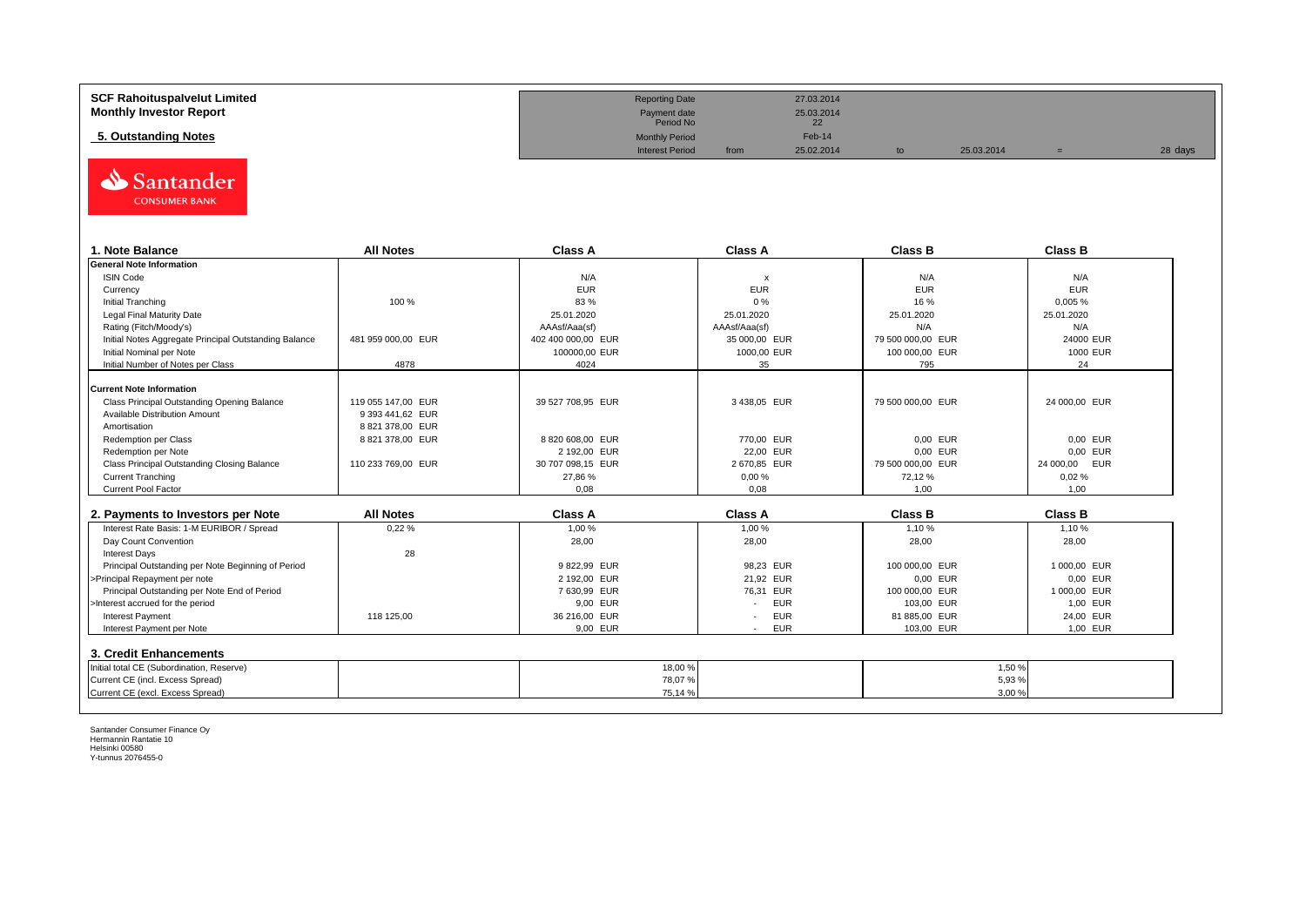| <b>SCF Rahoituspalvelut Limited</b> | <b>Reporting Date</b>     |      | 27.03.2014       |            |         |
|-------------------------------------|---------------------------|------|------------------|------------|---------|
| <b>Monthly Investor Report</b>      | Payment date<br>Period No |      | 25.03.2014<br>22 |            |         |
| 5. Outstanding Notes                | <b>Monthly Period</b>     |      | Feb-14           |            |         |
|                                     | <b>Interest Period</b>    | from | 25.02.2014       | 25.03.2014 | 28 days |



| . Note Balance                                        | <b>All Notes</b>   | <b>Class A</b>     | <b>Class A</b>            | <b>Class B</b>    | <b>Class B</b>   |
|-------------------------------------------------------|--------------------|--------------------|---------------------------|-------------------|------------------|
| <b>General Note Information</b>                       |                    |                    |                           |                   |                  |
| <b>ISIN Code</b>                                      |                    | N/A                | $\boldsymbol{\mathsf{x}}$ | N/A               | N/A              |
| Currency                                              |                    | <b>EUR</b>         | <b>EUR</b>                | <b>EUR</b>        | <b>EUR</b>       |
| Initial Tranching                                     | 100 %              | 83%                | 0%                        | 16 %              | 0,005%           |
| Legal Final Maturity Date                             |                    | 25.01.2020         | 25.01.2020                | 25.01.2020        | 25.01.2020       |
| Rating (Fitch/Moody's)                                |                    | AAAsf/Aaa(sf)      | AAAsf/Aaa(sf)             | N/A               | N/A              |
| Initial Notes Aggregate Principal Outstanding Balance | 481 959 000,00 EUR | 402 400 000,00 EUR | 35 000,00 EUR             | 79 500 000,00 EUR | 24000 EUR        |
| Initial Nominal per Note                              |                    | 100000.00 EUR      | 1000,00 EUR               | 100 000,00 EUR    | 1000 EUR         |
| Initial Number of Notes per Class                     | 4878               | 4024               | 35                        | 795               | 24               |
|                                                       |                    |                    |                           |                   |                  |
| <b>Current Note Information</b>                       |                    |                    |                           |                   |                  |
| Class Principal Outstanding Opening Balance           | 119 055 147.00 EUR | 39 527 708,95 EUR  | 3438,05 EUR               | 79 500 000,00 EUR | 24 000,00 EUR    |
| Available Distribution Amount                         | 9 393 441,62 EUR   |                    |                           |                   |                  |
| Amortisation                                          | 8 821 378.00 EUR   |                    |                           |                   |                  |
| Redemption per Class                                  | 8 821 378.00 EUR   | 8820608.00 EUR     | 770.00 EUR                | 0.00 EUR          | 0,00 EUR         |
| Redemption per Note                                   |                    | 2 192,00 EUR       | 22,00 EUR                 | 0,00 EUR          | 0,00 EUR         |
| Class Principal Outstanding Closing Balance           | 110 233 769,00 EUR | 30 707 098,15 EUR  | 2 670,85 EUR              | 79 500 000,00 EUR | EUR<br>24 000,00 |
| <b>Current Tranching</b>                              |                    | 27,86 %            | 0,00%                     | 72,12 %           | 0.02%            |
| Current Pool Factor                                   |                    | 0,08               | 0,08                      | 1,00              | 1,00             |

| 2. Payments to Investors per Note                  | <b>All Notes</b> | <b>Class A</b> | <b>Class A</b>                         | <b>Class B</b> | <b>Class B</b> |
|----------------------------------------------------|------------------|----------------|----------------------------------------|----------------|----------------|
| Interest Rate Basis: 1-M EURIBOR / Spread          | 0.22%            | 1.00 %         | 1.00 %                                 | 1.10%          | 1.10 %         |
| Day Count Convention                               |                  | 28,00          | 28,00                                  | 28,00          | 28,00          |
| <b>Interest Days</b>                               | 28               |                |                                        |                |                |
| Principal Outstanding per Note Beginning of Period |                  | 9822.99 EUR    | 98.23 EUR                              | 100 000.00 EUR | 1 000.00 EUR   |
| >Principal Repayment per note                      |                  | 2 192.00 EUR   | 21.92 EUR                              | 0.00 EUR       | 0.00 EUR       |
| Principal Outstanding per Note End of Period       |                  | 7630.99 EUR    | 76.31 EUR                              | 100 000.00 EUR | 1 000.00 EUR   |
| >Interest accrued for the period                   |                  | 9.00 EUR       | <b>EUR</b>                             | 103.00 EUR     | 1.00 EUR       |
| <b>Interest Payment</b>                            | 118 125.00       | 36 216,00 EUR  | <b>EUR</b><br>$\overline{\phantom{a}}$ | 81 885,00 EUR  | 24.00 EUR      |
| Interest Payment per Note                          |                  | 9,00 EUR       | <b>EUR</b>                             | 103,00 EUR     | 1,00 EUR       |
| 3. Credit Enhancements                             |                  |                |                                        |                |                |
| Initial total CE (Subordination, Reserve)          |                  | 18,00 %        |                                        |                | 1,50 %         |
| Current CE (incl. Excess Spread)                   |                  | 78,07%         |                                        |                | 5,93 %         |
| Current CE (excl. Excess Spread)                   |                  | 75,14 %        |                                        |                | 3,00%          |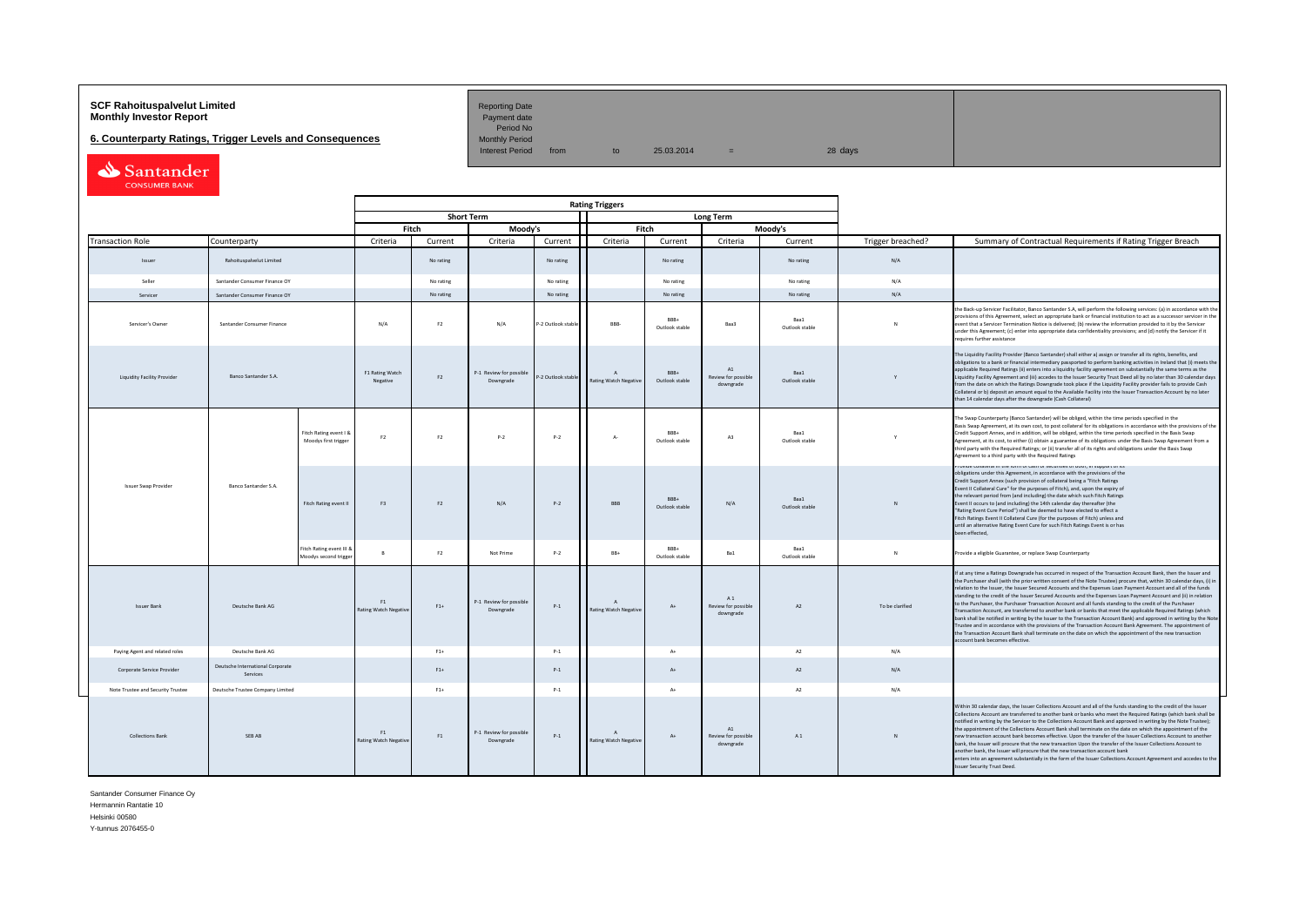# **SCF Rahoituspalvelut Limited Accord Reporting Date**<br>**Monthly Investor Report** Payment date **Monthly Investor Report**

**6. Counterparty Ratings, Trigger Levels and Consequences** 

Period No<br>Monthly Period

Interest Period from to  $25.03.2014 =$  28 days

Santander

|                                    |                                              |                                                   |                                    |                |                                      |                    | <b>Rating Triggers</b>                    |                              |                                                   |                        |                   |                                                                                                                                                                                                                                                                                                                                                                                                                                                                                                                                                                                                                                                                                                                                                                                                                                                                                                                                                                                                                                                                                                      |
|------------------------------------|----------------------------------------------|---------------------------------------------------|------------------------------------|----------------|--------------------------------------|--------------------|-------------------------------------------|------------------------------|---------------------------------------------------|------------------------|-------------------|------------------------------------------------------------------------------------------------------------------------------------------------------------------------------------------------------------------------------------------------------------------------------------------------------------------------------------------------------------------------------------------------------------------------------------------------------------------------------------------------------------------------------------------------------------------------------------------------------------------------------------------------------------------------------------------------------------------------------------------------------------------------------------------------------------------------------------------------------------------------------------------------------------------------------------------------------------------------------------------------------------------------------------------------------------------------------------------------------|
|                                    |                                              |                                                   |                                    |                | <b>Short Term</b>                    |                    |                                           |                              | <b>Long Term</b>                                  |                        |                   |                                                                                                                                                                                                                                                                                                                                                                                                                                                                                                                                                                                                                                                                                                                                                                                                                                                                                                                                                                                                                                                                                                      |
|                                    |                                              |                                                   |                                    | Fitch          | Moody's                              |                    |                                           | Fitch                        |                                                   | Moodv's                |                   |                                                                                                                                                                                                                                                                                                                                                                                                                                                                                                                                                                                                                                                                                                                                                                                                                                                                                                                                                                                                                                                                                                      |
| <b>Transaction Role</b>            | Counterparty                                 |                                                   | Criteria                           | Current        | Criteria                             | Current            | Criteria                                  | Current                      | Criteria                                          | Current                | Trigger breached? | Summary of Contractual Requirements if Rating Trigger Breach                                                                                                                                                                                                                                                                                                                                                                                                                                                                                                                                                                                                                                                                                                                                                                                                                                                                                                                                                                                                                                         |
| Issuer                             | Rahoituspalvelut Limited                     |                                                   |                                    | No rating      |                                      | No rating          |                                           | No rating                    |                                                   | No rating              | N/A               |                                                                                                                                                                                                                                                                                                                                                                                                                                                                                                                                                                                                                                                                                                                                                                                                                                                                                                                                                                                                                                                                                                      |
| Seller                             | Santander Consumer Finance OY                |                                                   |                                    | No rating      |                                      | No rating          |                                           | No rating                    |                                                   | No rating              | N/A               |                                                                                                                                                                                                                                                                                                                                                                                                                                                                                                                                                                                                                                                                                                                                                                                                                                                                                                                                                                                                                                                                                                      |
| Servicer                           | Santander Consumer Finance OY                |                                                   |                                    | No rating      |                                      | No rating          |                                           | No rating                    |                                                   | No rating              | N/A               |                                                                                                                                                                                                                                                                                                                                                                                                                                                                                                                                                                                                                                                                                                                                                                                                                                                                                                                                                                                                                                                                                                      |
| Servicer's Owner                   | Santander Consumer Finance                   |                                                   | N/A                                | F <sub>2</sub> | N/A                                  | P-2 Outlook stabl  | RRR-                                      | RRR+<br>Outlook stable       | Baa3                                              | Baa1<br>Outlook stable |                   | the Back-up Servicer Facilitator, Banco Santander S.A, will perform the following services: (a) in accordance with th<br>provisions of this Agreement, select an appropriate bank or financial institution to act as a successor servicer in the<br>event that a Servicer Termination Notice is delivered; (b) review the information provided to it by the Servicer<br>under this Agreement; (c) enter into appropriate data confidentiality provisions; and (d) notify the Servicer if it<br>requires further assistance                                                                                                                                                                                                                                                                                                                                                                                                                                                                                                                                                                           |
| <b>Liquidity Facility Provider</b> | <b>Banco Santander S.A.</b>                  |                                                   | F1 Rating Watch<br>Negative        | F2             | P-1 Review for possible<br>Downgrade | P-2 Outlook stable | $\Lambda$<br><b>Rating Watch Negative</b> | <b>BRR</b><br>Outlook stable | A1<br>Review for possible<br>downgrade            | Roof<br>Outlook stable | Y                 | The Liquidity Facility Provider (Banco Santander) shall either a) assign or transfer all its rights, benefits, and<br>obligations to a bank or financial intermediary passported to perform banking activities in Ireland that (i) meets the<br>applicable Required Ratings (ii) enters into a liquidity facility agreement on substantially the same terms as the<br>Liquidity Facility Agreement and (iii) accedes to the Issuer Security Trust Deed all by no later than 30 calendar days<br>from the date on which the Ratings Downgrade took place if the Liquidity Facility provider fails to provide Cash<br>Collateral or b) deposit an amount equal to the Available Facility into the Issuer Transaction Account by no later<br>than 14 calendar days after the downgrade (Cash Collateral)                                                                                                                                                                                                                                                                                                |
|                                    |                                              | Fitch Rating event I &<br>Moodys first trigger    | F2                                 | F2             | $P-2$                                | $P-2$              | $A-$                                      | RRR+<br>Outlook stable       | A3                                                | Baa1<br>Outlook stable |                   | The Swap Counterparty (Banco Santander) will be obliged, within the time periods specified in the<br>Basis Swap Agreement, at its own cost, to post collateral for its obligations in accordance with the provisions of the<br>Credit Support Annex, and in addition, will be obliged, within the time periods specified in the Basis Swap<br>Agreement, at its cost, to either (i) obtain a guarantee of its obligations under the Basis Swap Agreement from a<br>third party with the Required Ratings; or (ii) transfer all of its rights and obligations under the Basis Swap<br>Agreement to a third party with the Required Ratings                                                                                                                                                                                                                                                                                                                                                                                                                                                            |
| Issuer Swap Provider               | Banco Santander S.A.                         | Fitch Rating event II                             | F <sub>3</sub>                     | F <sub>2</sub> | N/A                                  | $P-2$              | BBB                                       | RRR+<br>Outlook stable       | N/A                                               | Baa1<br>Outlook stable | N                 | - בזו וש מעשפו מו מוכן ומוסט ב-10 של הוויט ב-10 של הוויט ב-10 של השוט.<br>obligations under this Agreement, in accordance with the provisions of the<br>Credit Support Annex (such provision of collateral being a "Fitch Ratings<br>Event II Collateral Cure" for the purposes of Fitch), and, upon the expiry of<br>the relevant period from (and including) the date which such Fitch Ratings<br>Event II occurs to (and including) the 14th calendar day thereafter (the<br>"Rating Event Cure Period") shall be deemed to have elected to effect a<br>Fitch Ratings Event II Collateral Cure (for the purposes of Fitch) unless and<br>until an alternative Rating Event Cure for such Fitch Ratings Event is or has<br>been effected,                                                                                                                                                                                                                                                                                                                                                          |
|                                    |                                              | Fitch Rating event III &<br>Moodys second trigger |                                    | F2             | Not Prime                            | $P-2$              | RR+                                       | RRR+<br>Outlook stable       | Ba1                                               | Baa1<br>Outlook stable | $\mathbb{N}$      | Provide a eligible Guarantee, or replace Swap Counterparty                                                                                                                                                                                                                                                                                                                                                                                                                                                                                                                                                                                                                                                                                                                                                                                                                                                                                                                                                                                                                                           |
| <b>Issuer Bank</b>                 | Deutsche Bank AG                             |                                                   | F1<br><b>Rating Watch Negative</b> | $F1+$          | P-1 Review for possible<br>Downgrade | $P-1$              | $\mathbf{A}$<br>Rating Watch Negative     | $A+$                         | A1<br>Review for possible<br>downgrade            | $\Delta$               | To be clarified   | If at any time a Ratings Downgrade has occurred in respect of the Transaction Account Bank, then the Issuer and<br>the Purchaser shall (with the prior written consent of the Note Trustee) procure that, within 30 calendar days, (i) in<br>relation to the Issuer, the Issuer Secured Accounts and the Expenses Loan Payment Account and all of the funds<br>standing to the credit of the Issuer Secured Accounts and the Expenses Loan Payment Account and (ii) in relation<br>to the Purchaser, the Purchaser Transaction Account and all funds standing to the credit of the Purchaser<br>Transaction Account, are transferred to another bank or banks that meet the applicable Required Ratings (which<br>bank shall be notified in writing by the Issuer to the Transaction Account Bank) and approved in writing by the Note<br>Trustee and in accordance with the provisions of the Transaction Account Bank Agreement. The appointment of<br>the Transaction Account Bank shall terminate on the date on which the appointment of the new transaction<br>account bank becomes effective. |
| Paying Agent and related roles     | Deutsche Bank AG                             |                                                   |                                    | $F1+$          |                                      | $P-1$              |                                           | $A+$                         |                                                   | A2                     | N/A               |                                                                                                                                                                                                                                                                                                                                                                                                                                                                                                                                                                                                                                                                                                                                                                                                                                                                                                                                                                                                                                                                                                      |
| Corporate Service Provider         | Deutsche International Corporate<br>Services |                                                   |                                    | $F1+$          |                                      | $P-1$              |                                           | $A+$                         |                                                   | A2                     | N/A               |                                                                                                                                                                                                                                                                                                                                                                                                                                                                                                                                                                                                                                                                                                                                                                                                                                                                                                                                                                                                                                                                                                      |
| Note Trustee and Security Trustee  | Deutsche Trustee Company Limited             |                                                   |                                    | $F1+$          |                                      | $P-1$              |                                           | $A+$                         |                                                   | A2                     | N/A               |                                                                                                                                                                                                                                                                                                                                                                                                                                                                                                                                                                                                                                                                                                                                                                                                                                                                                                                                                                                                                                                                                                      |
| <b>Collections Bank</b>            | SEB AB                                       |                                                   | F1<br>Rating Watch Negative        | F1             | P-1 Review for possible<br>Downgrade | $P-1$              | $\mathbf{A}$<br>Rating Watch Negative     | $A+$                         | $\mathbb{A}1$<br>Review for possible<br>downgrade | A1                     | N                 | Within 30 calendar days, the Issuer Collections Account and all of the funds standing to the credit of the Issuer<br>Collections Account are transferred to another bank or banks who meet the Required Ratings (which bank shall be<br>notified in writing by the Servicer to the Collections Account Bank and approved in writing by the Note Trustee);<br>the appointment of the Collections Account Bank shall terminate on the date on which the appointment of the<br>new transaction account bank becomes effective. Upon the transfer of the Issuer Collections Account to another<br>bank, the Issuer will procure that the new transaction Upon the transfer of the Issuer Collections Acoount to<br>another bank, the Issuer will procure that the new transaction account bank<br>enters into an agreement substantially in the form of the Issuer Collections Account Agreement and accedes to the<br>Issuer Security Trust Deed.                                                                                                                                                       |

Santander Consumer Finance Oy Hermannin Rantatie 10 Helsinki 00580

Y-tunnus 2076455-0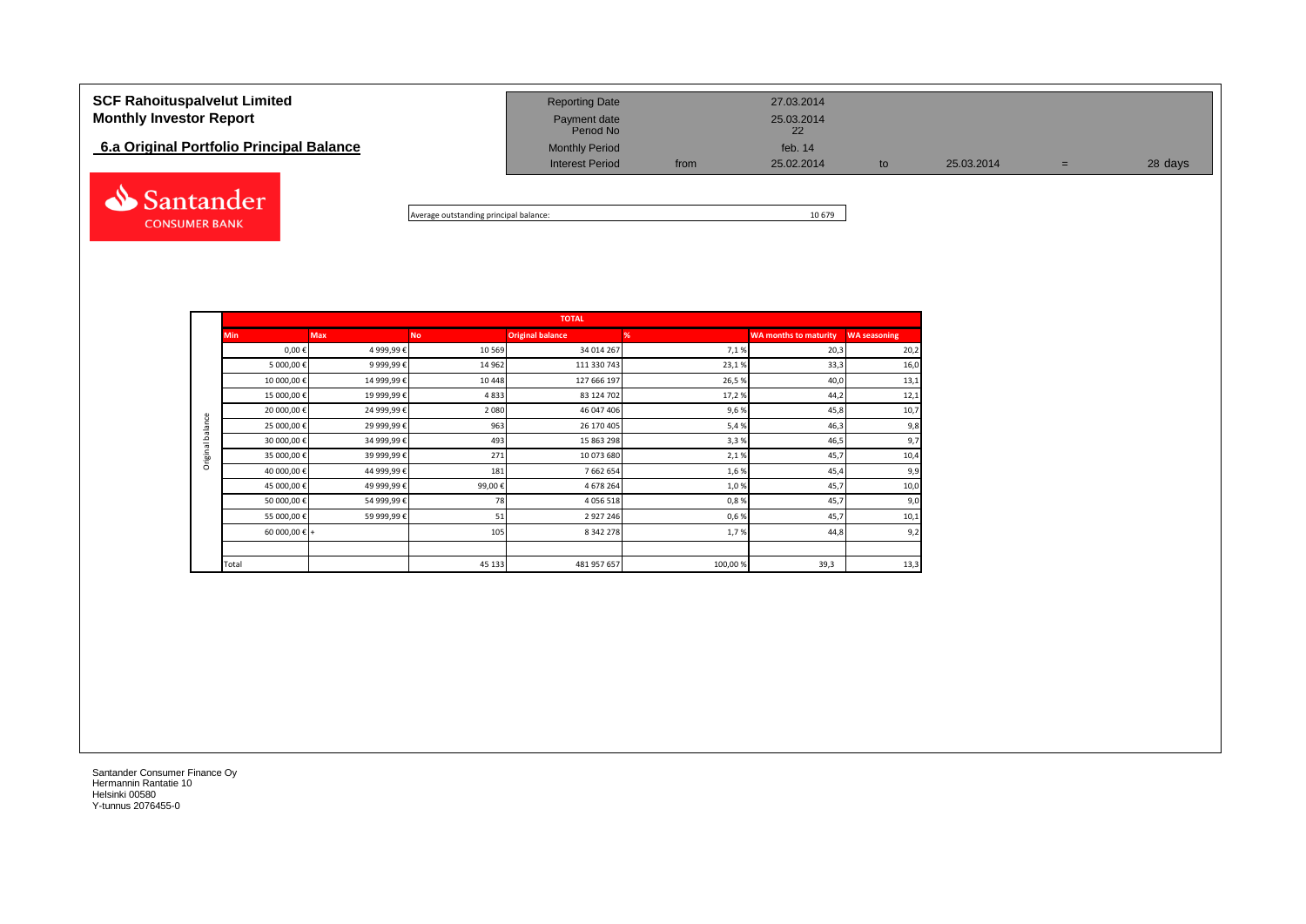# **SCF Rahoituspalvelut Limited** 27.03.2014 **Monthly Investor Report Payment date** 25.03.2014 Payment date<br>Period No **6.a Original Portfolio Principal Balance Monthly Period** Monthly Period **Feb. 14 Monthly Period Feb. 14** Interest Period from 25.02.2014 to 25.03.2014 = 28 days Santander



|                  |                        |             |           | <b>TOTAL</b>            |         |                              |                     |
|------------------|------------------------|-------------|-----------|-------------------------|---------|------------------------------|---------------------|
|                  | <b>Min</b>             | <b>Max</b>  | <b>No</b> | <b>Original balance</b> | %       | <b>WA months to maturity</b> | <b>WA seasoning</b> |
|                  | $0,00 \in$             | 4 999,99€   | 10 5 69   | 34 014 267              | 7,1%    | 20,3                         | 20,2                |
|                  | 5 000,00 €             | 9 999,99€   | 14 9 62   | 111 330 743             | 23,1%   | 33,3                         | 16,0                |
|                  | 10 000,00 €            | 14 999,99€  | 10 4 48   | 127 666 197             | 26,5%   | 40,0                         | 13,1                |
|                  | 15 000,00 €            | 19 999,99€  | 4833      | 83 124 702              | 17,2%   | 44,2                         | 12,1                |
|                  | 20 000,00 €            | 24 999,99 € | 2 0 8 0   | 46 047 406              | 9,6%    | 45,8                         | 10,7                |
| Original balance | 25 000,00 €            | 29 999,99 € | 963       | 26 170 405              | 5,4%    | 46,3                         | 9,8                 |
|                  | 30 000,00 €            | 34 999,99 € | 493       | 15 863 298              | 3,3%    | 46,5                         | 9,7                 |
|                  | 35 000,00 €            | 39 999,99 € | 271       | 10 073 680              | 2,1%    | 45,7                         | 10,4                |
|                  | 40 000,00 €            | 44 999,99 € | 181       | 7 662 654               | 1,6%    | 45,4                         | 9,9                 |
|                  | 45 000,00 €            | 49 999,99€  | 99,00€    | 4 678 264               | 1,0%    | 45,7                         | 10,0                |
|                  | 50 000,00 €            | 54 999,99€  | 78        | 4 0 5 6 5 1 8           | 0,8%    | 45,7                         | 9,0                 |
|                  | 55 000,00 €            | 59 999,99 € | 51        | 2 9 2 7 2 4 6           | 0,6%    | 45,7                         | 10,1                |
|                  | 60 000,00 $\epsilon$ + |             | 105       | 8 342 278               | 1,7%    | 44,8                         | 9,2                 |
|                  |                        |             |           |                         |         |                              |                     |
|                  | Total                  |             | 45 133    | 481 957 657             | 100,00% | 39,3                         | 13,3                |

Santander Consumer Finance Oy Hermannin Rantatie 10 Helsinki 00580 Y-tunnus 2076455-0

**CONSUMER BANK**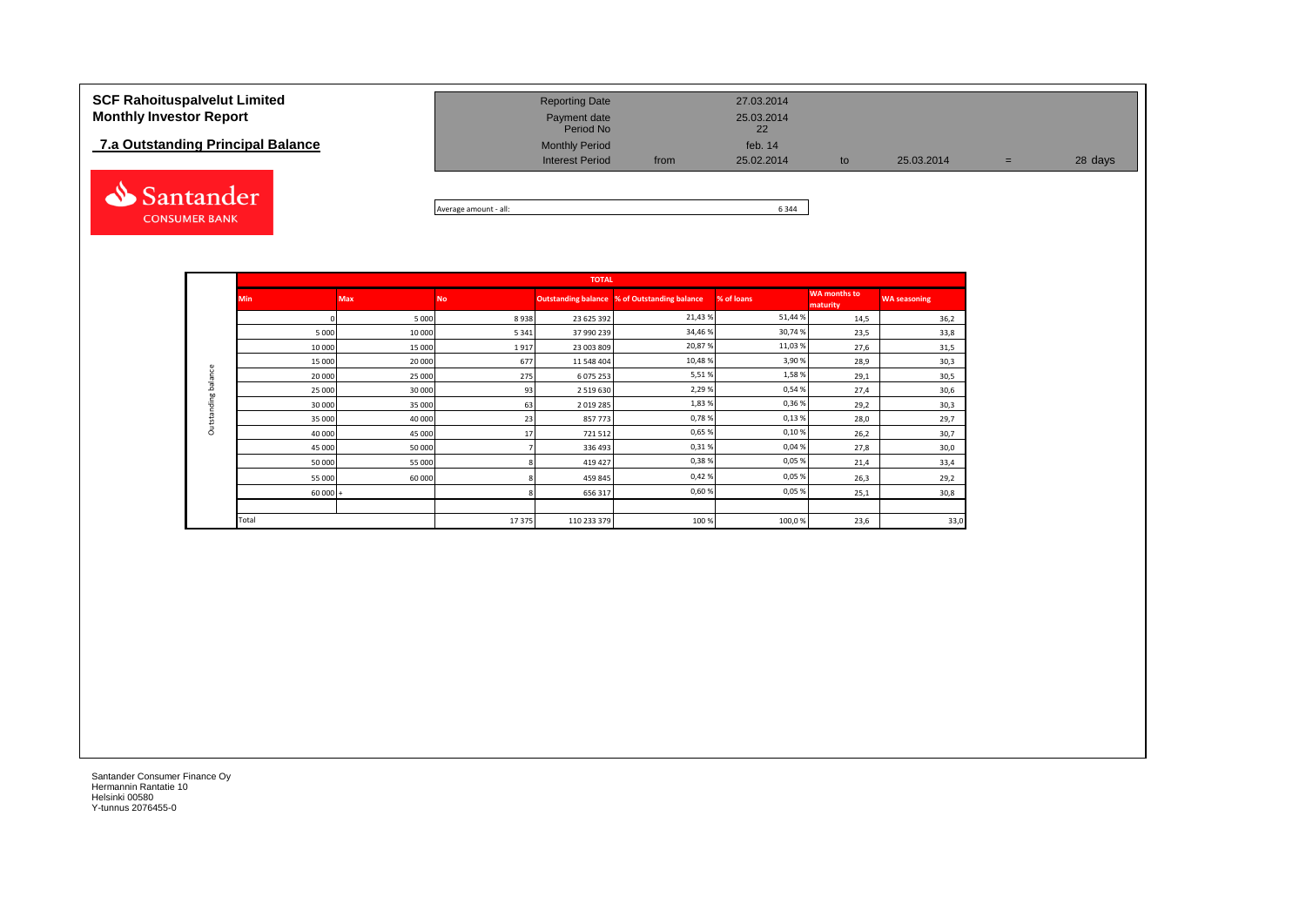## **7.a Outstanding Principal Balance**



| <b>SCF Rahoituspalvelut Limited</b> | <b>Reporting Date</b>     |      | 27.03.2014       |               |            |     |         |
|-------------------------------------|---------------------------|------|------------------|---------------|------------|-----|---------|
| <b>Monthly Investor Report</b>      | Payment date<br>Period No |      | 25.03.2014<br>22 |               |            |     |         |
| 7.a Outstanding Principal Balance   | <b>Monthly Period</b>     |      | feb. 14          |               |            |     |         |
|                                     | <b>Interest Period</b>    | from | 25.02.2014       | $\mathsf{to}$ | 25.03.2014 | $=$ | 28 days |

Average amount - all: 6 344

|             |           |            |           | <b>TOTAL</b>  |                                                     |            |                                 |                     |
|-------------|-----------|------------|-----------|---------------|-----------------------------------------------------|------------|---------------------------------|---------------------|
|             | Min       | <b>Max</b> | <b>No</b> |               | <b>Outstanding balance % of Outstanding balance</b> | % of loans | <b>WA months to</b><br>maturity | <b>WA seasoning</b> |
|             |           | 5 0 0 0    | 8938      | 23 625 392    | 21,43%                                              | 51,44%     | 14,5                            | 36,2                |
|             | 5 0 0 0   | 10 000     | 5 3 4 1   | 37 990 239    | 34,46%                                              | 30,74%     | 23,5                            | 33,8                |
|             | 10 000    | 15 000     | 1917      | 23 003 809    | 20,87%                                              | 11,03%     | 27,6                            | 31,5                |
|             | 15 000    | 20 000     | 677       | 11 548 404    | 10,48%                                              | 3,90%      | 28,9                            | 30,3                |
| balance     | 20 000    | 25 000     | 275       | 6 075 253     | 5,51%                                               | 1,58%      | 29,1                            | 30,5                |
|             | 25 000    | 30 000     | 93        | 2 5 1 9 6 3 0 | 2,29%                                               | 0,54%      | 27,4                            | 30,6                |
| Outstanding | 30 000    | 35 000     | 63        | 2 0 19 2 8 5  | 1,83%                                               | 0,36%      | 29,2                            | 30,3                |
|             | 35 000    | 40 000     | 23        | 857773        | 0,78%                                               | 0,13%      | 28,0                            | 29,7                |
|             | 40 000    | 45 000     | 17        | 721512        | 0,65%                                               | 0,10%      | 26,2                            | 30,7                |
|             | 45 000    | 50 000     |           | 336 493       | 0,31%                                               | 0,04%      | 27,8                            | 30,0                |
|             | 50 000    | 55 000     |           | 419 427       | 0,38%                                               | 0,05%      | 21,4                            | 33,4                |
|             | 55 000    | 60 000     |           | 459 845       | 0,42%                                               | 0,05%      | 26,3                            | 29,2                |
|             | $60000 +$ |            |           | 656 317       | 0,60%                                               | 0,05%      | 25,1                            | 30,8                |
|             |           |            |           |               |                                                     |            |                                 |                     |
|             | Total     |            | 17375     | 110 233 379   | 100%                                                | 100,0%     | 23,6                            | 33,0                |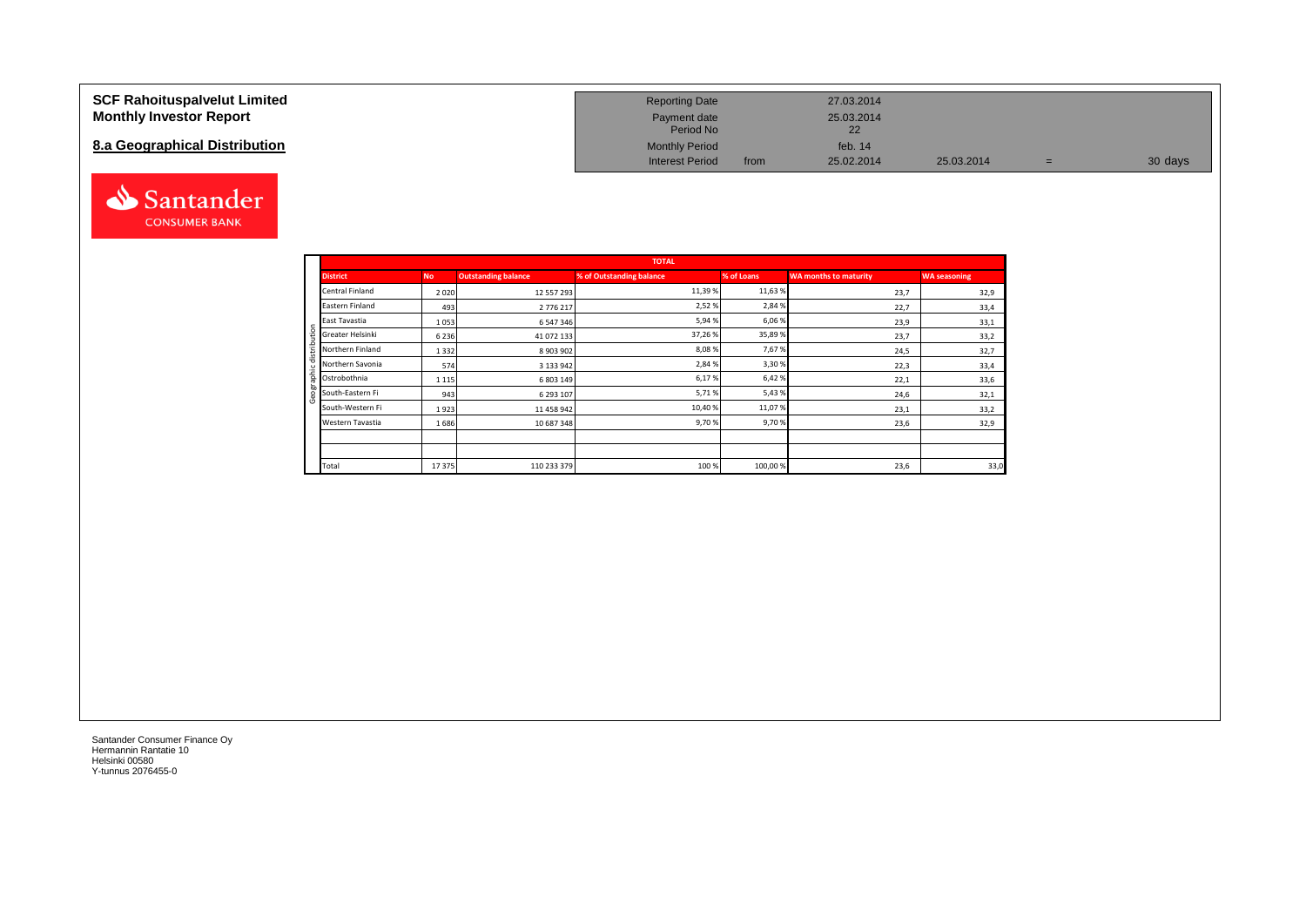### **SCF Rahoituspalvelut Limited Monthly Investor Report**

## **8.a Geographical Distribution**



| <b>Reporting Date</b>     |      | 27.03.2014       |            |   |         |
|---------------------------|------|------------------|------------|---|---------|
| Payment date<br>Period No |      | 25.03.2014<br>22 |            |   |         |
| <b>Monthly Period</b>     |      | feb. $14$        |            |   |         |
| <b>Interest Period</b>    | from | 25.02.2014       | 25.03.2014 | = | 30 days |

|       |                  |           |                            | <b>TOTAL</b>             |            |                              |                     |
|-------|------------------|-----------|----------------------------|--------------------------|------------|------------------------------|---------------------|
|       | <b>District</b>  | <b>No</b> | <b>Outstanding balance</b> | % of Outstanding balance | % of Loans | <b>WA months to maturity</b> | <b>WA seasoning</b> |
|       | Central Finland  | 2020      | 12 557 293                 | 11,39%                   | 11,63%     | 23,7                         | 32,9                |
|       | Eastern Finland  | 493       | 2776217                    | 2,52%                    | 2,84 %     | 22,7                         | 33,4                |
|       | East Tavastia    | 1053      | 6 547 346                  | 5,94%                    | 6,06 %     | 23,9                         | 33,1                |
| ÷     | Greater Helsinki | 6 2 3 6   | 41 072 133                 | 37,26%                   | 35,89%     | 23,7                         | 33,2                |
|       | Northern Finland | 1332      | 8 903 902                  | 8,08%                    | 7,67%      | 24,5                         | 32,7                |
|       | Northern Savonia | 574       | 3 133 942                  | 2,84%                    | 3,30%      | 22,3                         | 33,4                |
| 효     | Ostrobothnia     | 1 1 1 5   | 6 803 149                  | 6,17%                    | 6,42%      | 22,1                         | 33,6                |
|       | South-Eastern Fi | 943       | 6 293 107                  | 5,71%                    | 5,43 %     | 24,6                         | 32,1                |
|       | South-Western Fi | 1923      | 11 458 942                 | 10,40%                   | 11,07%     | 23,1                         | 33,2                |
|       | Western Tavastia | 1686      | 10 687 348                 | 9,70%                    | 9,70%      | 23,6                         | 32,9                |
|       |                  |           |                            |                          |            |                              |                     |
|       |                  |           |                            |                          |            |                              |                     |
| Total |                  | 17 375    | 110 233 379                | 100%                     | 100,00%    | 23,6                         | 33,0                |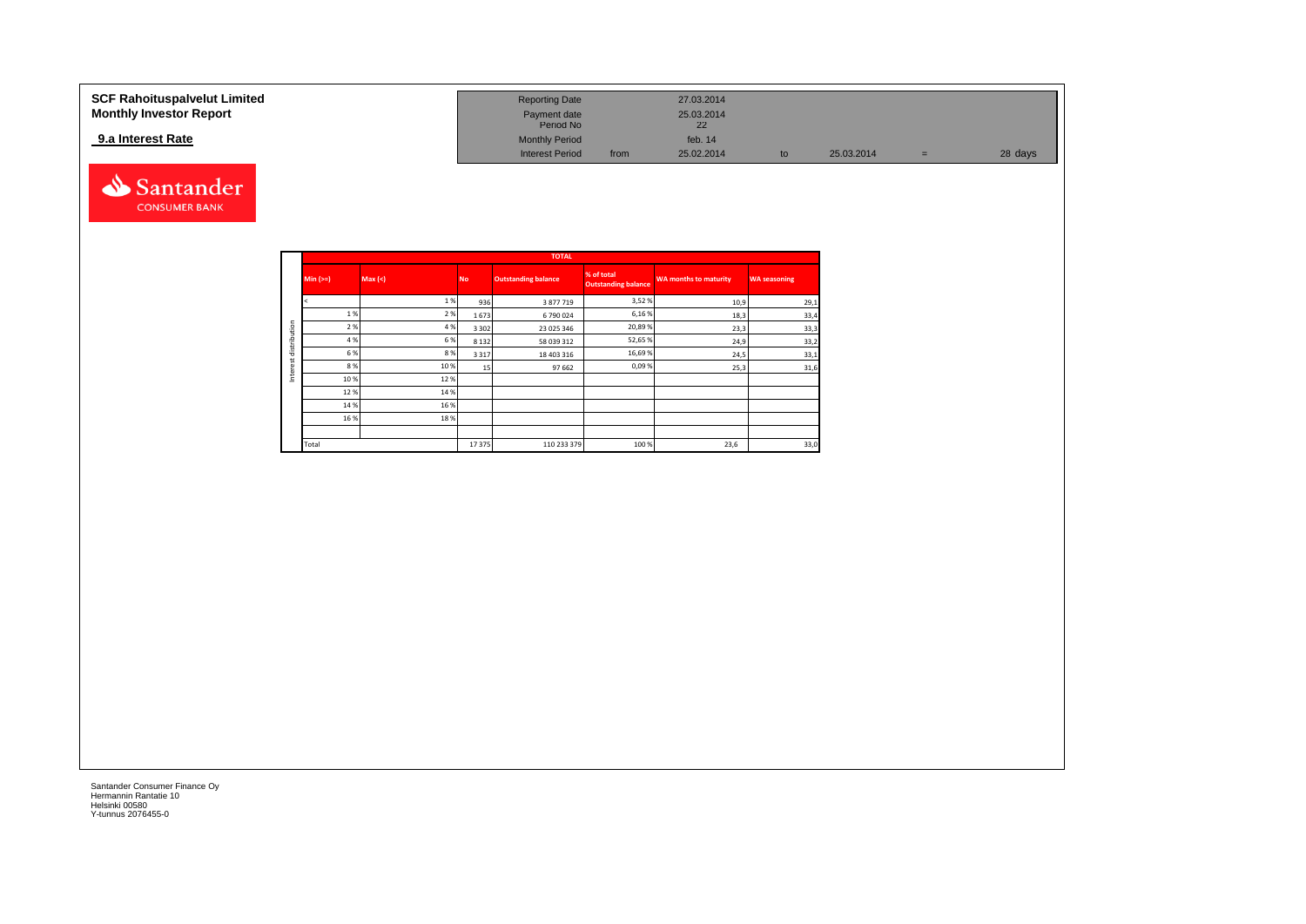| SCF Rahoituspalvelut Limited<br><b>Monthly Investor Report</b> | <b>Reporting Date</b><br>Payment date<br>Period No |      | 27.03.2014<br>25.03.2014<br>22 |            |   |         |
|----------------------------------------------------------------|----------------------------------------------------|------|--------------------------------|------------|---|---------|
| 9.a Interest Rate                                              | <b>Monthly Period</b><br><b>Interest Period</b>    | from | feb. $14$<br>25.02.2014        | 25.03.2014 | = | 28 days |



|              |            |         |           | <b>TOTAL</b>               |                                          |                              |                     |
|--------------|------------|---------|-----------|----------------------------|------------------------------------------|------------------------------|---------------------|
|              | $Min (=)=$ | Max (<) | <b>No</b> | <b>Outstanding balance</b> | % of total<br><b>Outstanding balance</b> | <b>WA months to maturity</b> | <b>WA seasoning</b> |
|              |            | 1%      | 936       | 3 877 719                  | 3,52%                                    | 10,9                         | 29,1                |
|              | 1%         | 2 %     | 1673      | 6790024                    | 6,16%                                    | 18,3                         | 33,4                |
| distribution | 2 %        | 4 %     | 3 3 0 2   | 23 025 346                 | 20,89%                                   | 23,3                         | 33,3                |
|              | 4 %        | 6 %     | 8 1 3 2   | 58 039 312                 | 52,65%                                   | 24,9                         | 33,2                |
|              | 6 %        | 8 %     | 3 3 1 7   | 18 403 316                 | 16,69%                                   | 24,5                         | 33,1                |
|              | 8 %        | 10%     | 15        | 97 662                     | 0,09%                                    | 25,3                         | 31,6                |
| Interest     | 10%        | 12%     |           |                            |                                          |                              |                     |
|              | 12 %       | 14 %    |           |                            |                                          |                              |                     |
|              | 14 %       | 16 %    |           |                            |                                          |                              |                     |
|              | 16%        | 18%     |           |                            |                                          |                              |                     |
|              |            |         |           |                            |                                          |                              |                     |
|              | Total      |         | 17375     | 110 233 379                | 100 %                                    | 23,6                         | 33,0                |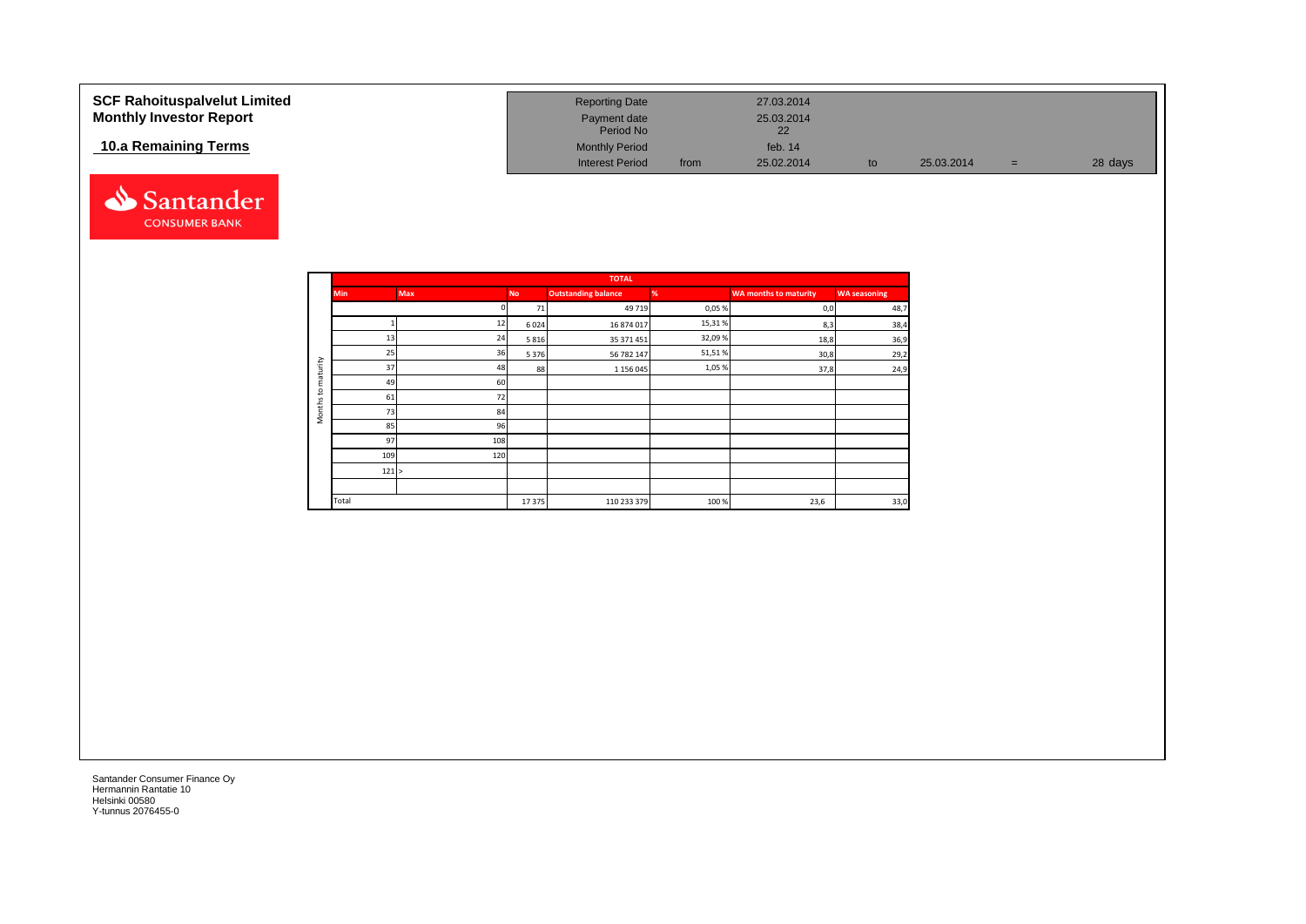| <b>SCF Rahoituspalvelut Limited</b><br><b>Monthly Investor Report</b> | <b>Reporting Date</b><br>Payment date |      | 27.03.2014<br>25.03.2014 |    |            |     |         |
|-----------------------------------------------------------------------|---------------------------------------|------|--------------------------|----|------------|-----|---------|
|                                                                       | Period No                             |      | 22                       |    |            |     |         |
| 10.a Remaining Terms                                                  | <b>Monthly Period</b>                 |      | feb. $14$                |    |            |     |         |
|                                                                       | <b>Interest Period</b>                | from | 25.02.2014               | to | 25.03.2014 | $=$ | 28 days |



|                     |            |            |           | <b>TOTAL</b>               |        |                              |                     |
|---------------------|------------|------------|-----------|----------------------------|--------|------------------------------|---------------------|
|                     | <b>Min</b> | <b>Max</b> | <b>No</b> | <b>Outstanding balance</b> | %      | <b>WA months to maturity</b> | <b>WA seasoning</b> |
|                     |            |            | 71        | 49 7 19                    | 0,05%  | 0,0                          | 48,7                |
|                     |            | 12         | 6024      | 16 874 017                 | 15,31% | 8,3                          | 38,4                |
|                     | 13         | 24         | 5816      | 35 371 451                 | 32,09% | 18,8                         | 36,9                |
|                     | 25         | 36         | 5 3 7 6   | 56 782 147                 | 51,51% | 30,8                         | 29,2                |
| maturity            | 37         | 48         | 88        | 1 156 045                  | 1,05%  | 37,8                         | 24,9                |
|                     | 49         | 60         |           |                            |        |                              |                     |
| $\mathbf{c}$        | 61         | 72         |           |                            |        |                              |                     |
| Months <sup>-</sup> | 73         | 84         |           |                            |        |                              |                     |
|                     | 85         | 96         |           |                            |        |                              |                     |
|                     | 97         | 108        |           |                            |        |                              |                     |
|                     | 109        | 120        |           |                            |        |                              |                     |
|                     | 121 >      |            |           |                            |        |                              |                     |
|                     |            |            |           |                            |        |                              |                     |
|                     | Total      |            | 17375     | 110 233 379                | 100%   | 23,6                         | 33,0                |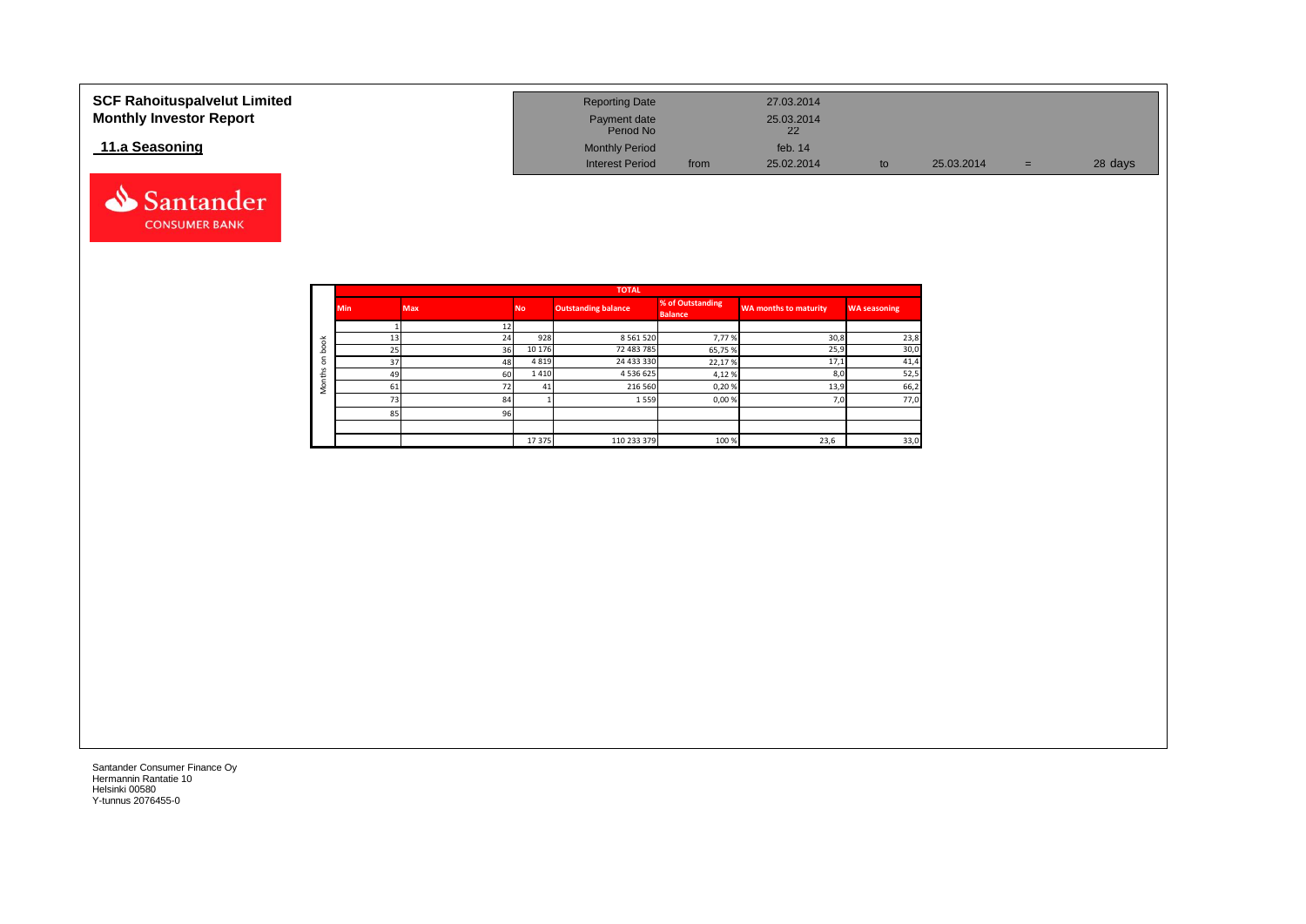| <b>SCF Rahoituspalvelut Limited</b><br><b>Monthly Investor Report</b> | <b>Reporting Date</b><br>Payment date<br>Period No |      | 27.03.2014<br>25.03.2014 |    |            |     |         |
|-----------------------------------------------------------------------|----------------------------------------------------|------|--------------------------|----|------------|-----|---------|
| 11.a Seasoning                                                        | <b>Monthly Period</b><br><b>Interest Period</b>    | from | feb. $14$<br>25.02.2014  |    | 25.03.2014 |     | 28 days |
|                                                                       |                                                    |      |                          | to |            | $=$ |         |



Santander **CONSUMER BANK**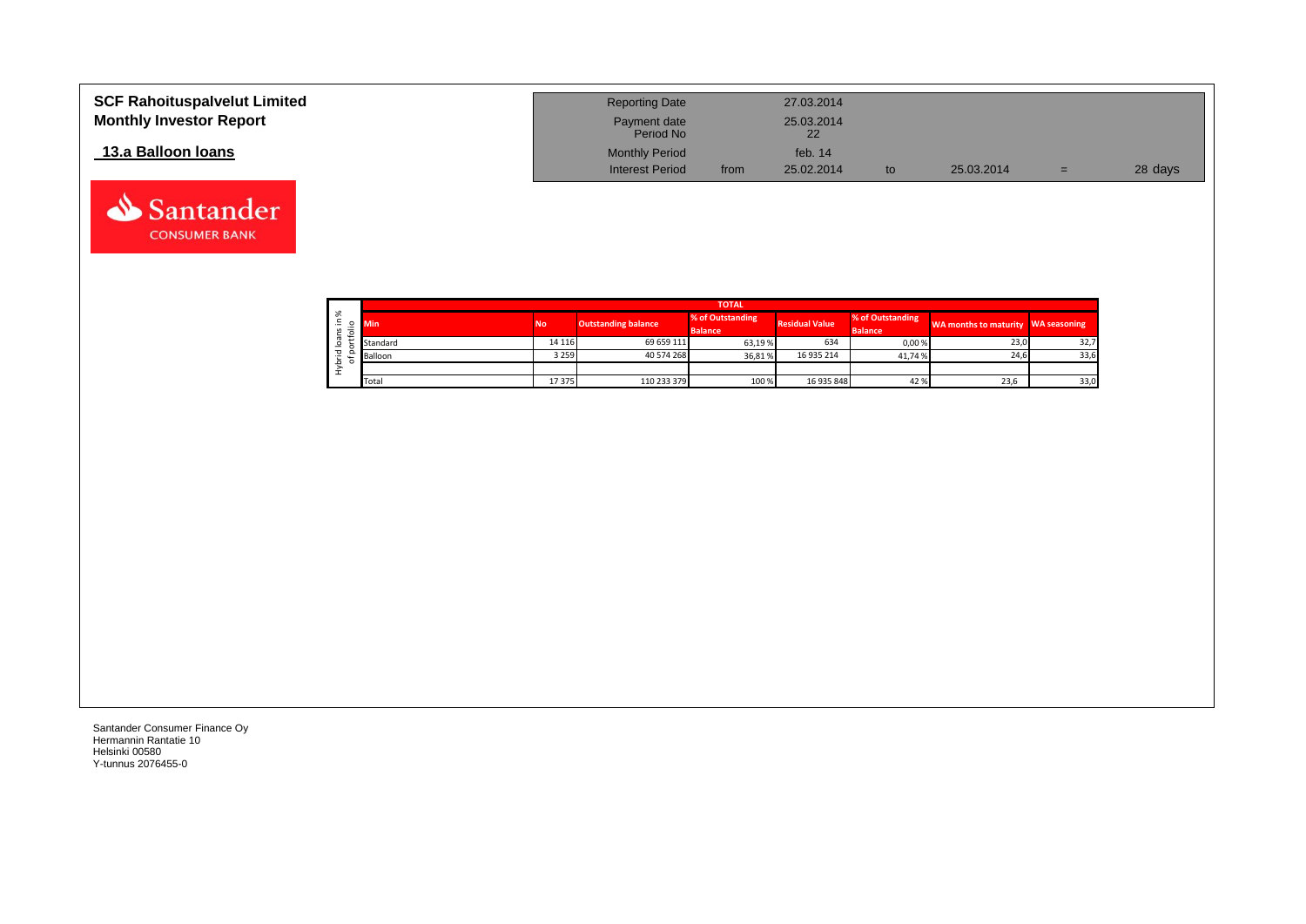| <b>SCF Rahoituspalvelut Limited</b><br><b>Monthly Investor Report</b> | <b>Reporting Date</b><br>Payment date<br>Period No |      | 27.03.2014<br>25.03.2014<br>22 |    |            |     |         |
|-----------------------------------------------------------------------|----------------------------------------------------|------|--------------------------------|----|------------|-----|---------|
| 13.a Balloon Ioans                                                    | <b>Monthly Period</b><br><b>Interest Period</b>    | from | feb. $14$<br>25.02.2014        | to | 25.03.2014 | $=$ | 28 days |

|    | <b>TOTAL</b> |  |           |                            |                                    |                       |                                    |                                    |      |  |  |  |  |
|----|--------------|--|-----------|----------------------------|------------------------------------|-----------------------|------------------------------------|------------------------------------|------|--|--|--|--|
| ৯ং | <b>Min</b>   |  | <b>No</b> | <b>Outstanding balance</b> | % of Outstanding<br><b>Balance</b> | <b>Residual Value</b> | % of Outstanding<br><b>Balance</b> | WA months to maturity WA seasoning |      |  |  |  |  |
|    | Standard     |  | 14 116    | 69 659 111                 | 63,19 %                            | 634                   | 0,00%                              | 23,0                               | 32,7 |  |  |  |  |
|    | Balloon      |  | 3 2 5 9   | 40 574 268                 | 36,81%                             | 16 935 214            | 41.74%                             | 24,6                               | 33,6 |  |  |  |  |
|    |              |  |           |                            |                                    |                       |                                    |                                    |      |  |  |  |  |
|    | Total        |  | 17 375    | 110 233 379                | 100 %                              | 16 935 848            | 42%                                | 23,6                               | 33,0 |  |  |  |  |

Santander **CONSUMER BANK**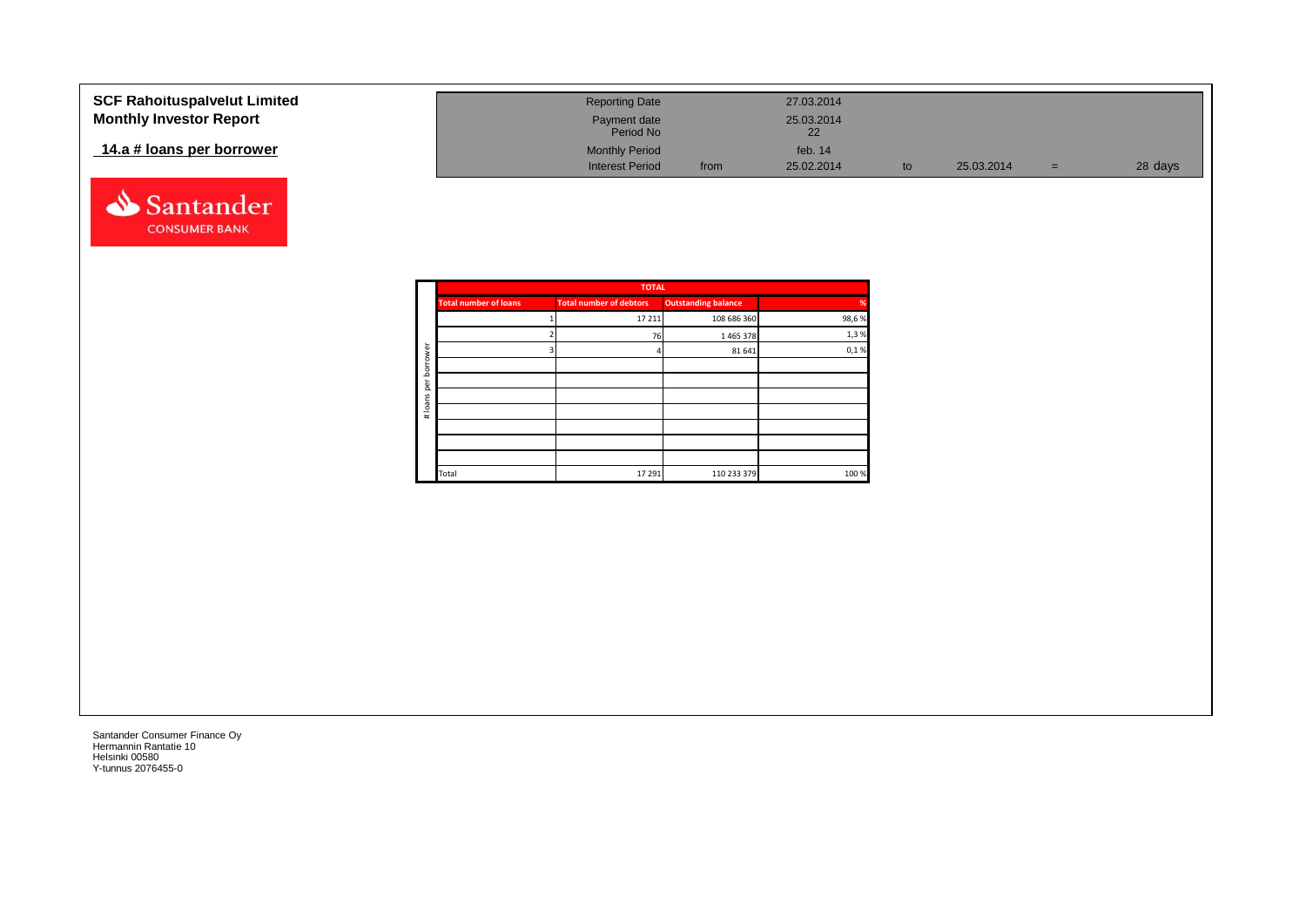| <b>SCF Rahoituspalvelut Limited</b><br><b>Monthly Investor Report</b> | <b>Reporting Date</b><br>Payment date |      | 27.03.2014<br>25.03.2014 |            |     |         |
|-----------------------------------------------------------------------|---------------------------------------|------|--------------------------|------------|-----|---------|
|                                                                       | Period No                             |      | 22                       |            |     |         |
| 14.a # loans per borrower                                             | <b>Monthly Period</b>                 |      | feb. $14$                |            |     |         |
|                                                                       | <b>Interest Period</b>                | from | 25.02.2014               | 25.03.2014 | $=$ | 28 days |



|             |                              | <b>TOTAL</b>                   |                            |       |
|-------------|------------------------------|--------------------------------|----------------------------|-------|
|             | <b>Total number of loans</b> | <b>Total number of debtors</b> | <b>Outstanding balance</b> | %     |
|             |                              | 17 211                         | 108 686 360                | 98,6% |
|             |                              | 76                             | 1465378                    | 1,3%  |
| ৯           |                              |                                | 81 641                     | 0,1%  |
| row<br>bori |                              |                                |                            |       |
| per         |                              |                                |                            |       |
|             |                              |                                |                            |       |
| # loans     |                              |                                |                            |       |
|             |                              |                                |                            |       |
|             |                              |                                |                            |       |
|             |                              |                                |                            |       |
|             | Total                        | 17 29 1                        | 110 233 379                | 100 % |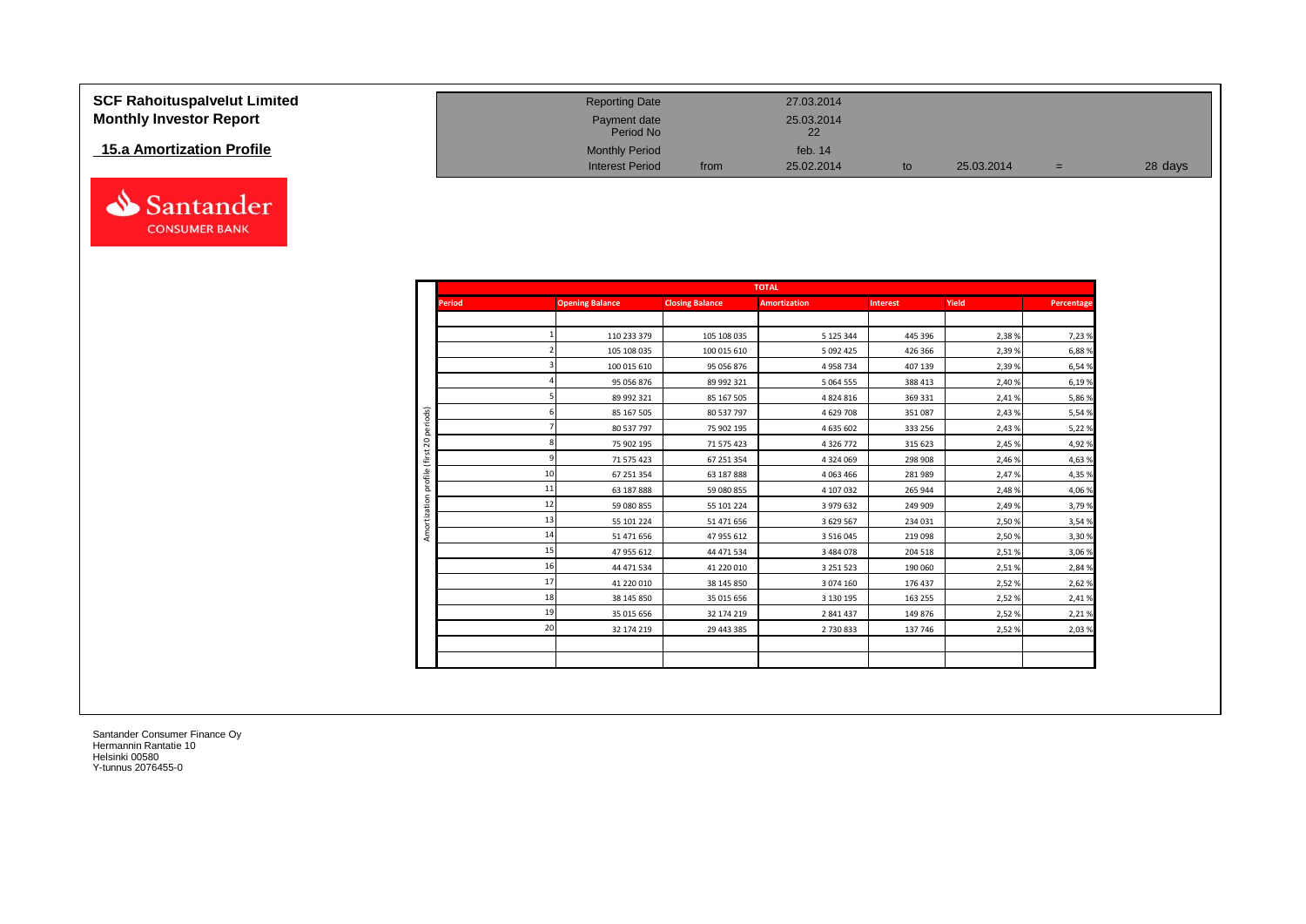| <b>SCF Rahoituspalvelut Limited</b> | <b>Reporting Date</b>     |      | 27.03.2014       |    |            |     |         |
|-------------------------------------|---------------------------|------|------------------|----|------------|-----|---------|
| <b>Monthly Investor Report</b>      | Payment date<br>Period No |      | 25.03.2014<br>22 |    |            |     |         |
| 15.a Amortization Profile           | <b>Monthly Period</b>     |      | feb. $14$        |    |            |     |         |
|                                     | <b>Interest Period</b>    | from | 25.02.2014       | to | 25.03.2014 | $=$ | 28 days |



|                 |                        |                        | <b>TOTAL</b>        |                 |        |            |
|-----------------|------------------------|------------------------|---------------------|-----------------|--------|------------|
| <b>Period</b>   | <b>Opening Balance</b> | <b>Closing Balance</b> | <b>Amortization</b> | <b>Interest</b> | Yield  | Percentage |
|                 |                        |                        |                     |                 |        |            |
|                 | 110 233 379            | 105 108 035            | 5 125 344           | 445 396         | 2,38%  | 7,23 %     |
|                 | 105 108 035            | 100 015 610            | 5 092 425           | 426 366         | 2,39%  | 6,88%      |
|                 | 100 015 610            | 95 056 876             | 4 9 58 7 34         | 407 139         | 2,39%  | 6,54 %     |
|                 | 95 056 876             | 89 992 321             | 5 0 6 4 5 5 5       | 388 413         | 2,40%  | 6,19%      |
|                 | 89 992 321             | 85 167 505             | 4824816             | 369 331         | 2,41%  | 5,86 %     |
|                 | 85 167 505             | 80 537 797             | 4 629 708           | 351087          | 2,43%  | 5,54 %     |
|                 | 80 537 797             | 75 902 195             | 4 635 602           | 333 256         | 2,43%  | 5,22 %     |
|                 | 75 902 195             | 71 575 423             | 4 3 2 6 7 7 2       | 315 623         | 2,45 % | 4,92%      |
|                 | 71 575 423             | 67 251 354             | 4 3 2 4 0 6 9       | 298 908         | 2,46 % | 4,63%      |
| 10 <sup>1</sup> | 67 251 354             | 63 187 888             | 4 0 63 4 66         | 281 989         | 2,47%  | 4,35 %     |
| 11              | 63 187 888             | 59 080 855             | 4 107 032           | 265 944         | 2,48%  | 4,06%      |
| 12              | 59 080 855             | 55 101 224             | 3 979 632           | 249 909         | 2,49%  | 3,79%      |
| 13              | 55 101 224             | 51 471 656             | 3 629 567           | 234 031         | 2,50%  | 3,54 %     |
| 14              | 51 471 656             | 47 955 612             | 3 5 1 6 0 4 5       | 219 098         | 2,50%  | 3,30 %     |
| 15              | 47 955 612             | 44 471 534             | 3 484 078           | 204 518         | 2,51%  | 3,06 %     |
| 16              | 44 471 534             | 41 220 010             | 3 2 5 1 5 2 3       | 190 060         | 2,51%  | 2,84 %     |
| 17              | 41 220 010             | 38 145 850             | 3 074 160           | 176 437         | 2,52%  | 2,62%      |
| 18              | 38 145 850             | 35 015 656             | 3 130 195           | 163 255         | 2,52%  | 2,41%      |
| 19              | 35 015 656             | 32 174 219             | 2 841 437           | 149 876         | 2,52%  | 2,21%      |
| 20              | 32 174 219             | 29 443 385             | 2 730 833           | 137 746         | 2,52%  | 2,03%      |
|                 |                        |                        |                     |                 |        |            |
|                 |                        |                        |                     |                 |        |            |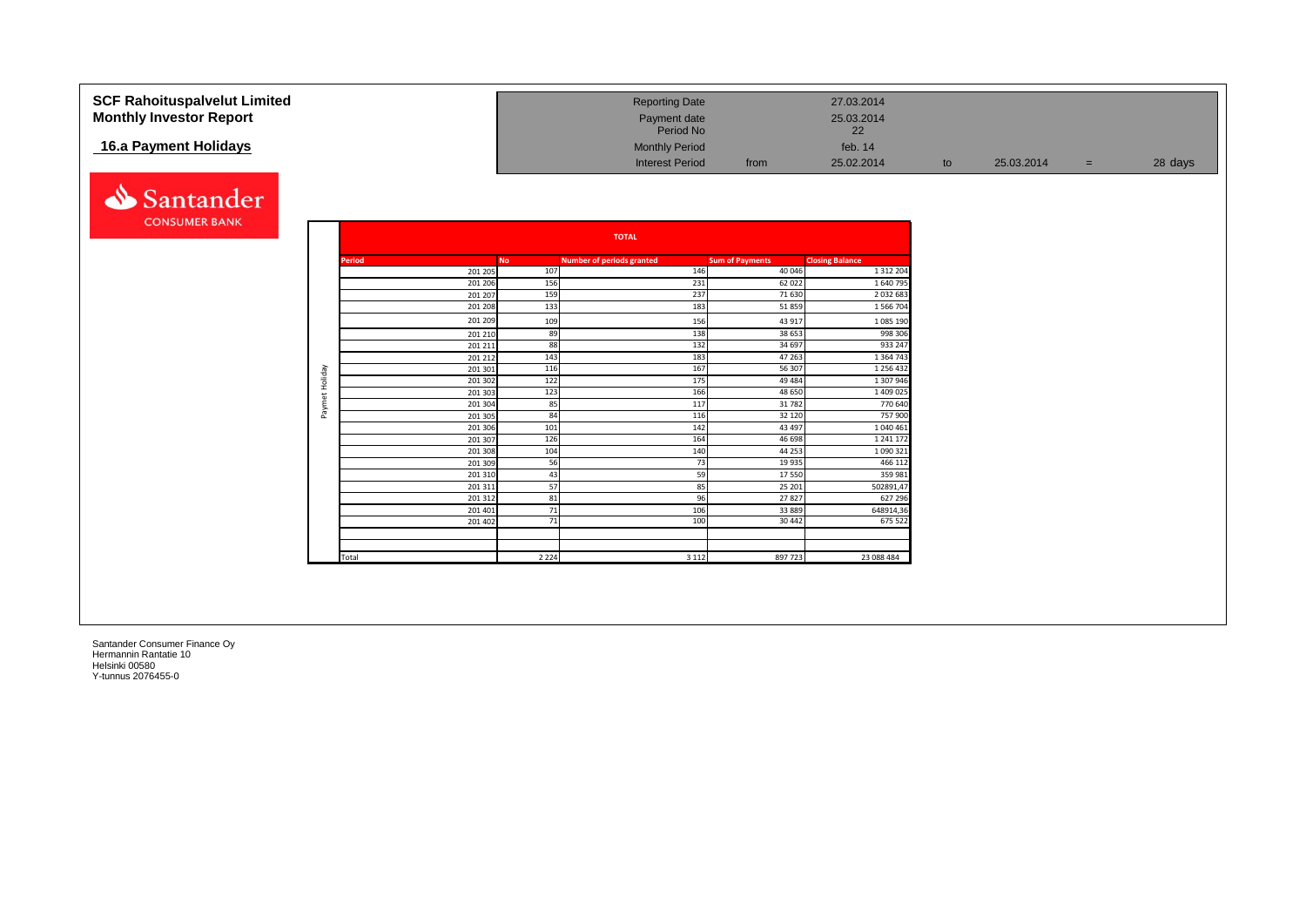| <b>SCF Rahoituspalvelut Limited</b><br><b>Monthly Investor Report</b> |                |                          |                  | <b>Reporting Date</b><br>Payment date<br>Period No |                                  | 27.03.2014<br>25.03.2014<br>22          |    |            |     |         |
|-----------------------------------------------------------------------|----------------|--------------------------|------------------|----------------------------------------------------|----------------------------------|-----------------------------------------|----|------------|-----|---------|
| 16.a Payment Holidays                                                 |                |                          |                  | <b>Monthly Period</b><br><b>Interest Period</b>    | from                             | feb. 14<br>25.02.2014                   | to | 25.03.2014 | $=$ | 28 days |
| Santander                                                             |                |                          |                  |                                                    |                                  |                                         |    |            |     |         |
| <b>CONSUMER BANK</b>                                                  |                |                          |                  | <b>TOTAL</b>                                       |                                  |                                         |    |            |     |         |
|                                                                       |                |                          |                  |                                                    |                                  |                                         |    |            |     |         |
|                                                                       |                | <b>Period</b><br>201 205 | <b>No</b><br>107 | <b>Number of periods granted</b><br>146            | <b>Sum of Payments</b><br>40 046 | <b>Closing Balance</b><br>1 3 1 2 2 0 4 |    |            |     |         |
|                                                                       |                | 201 206                  | 156              | 231                                                | 62 0 22                          | 1640795                                 |    |            |     |         |
|                                                                       |                | 201 207                  | 159              | 237                                                | 71 630                           | 2 0 3 2 6 8                             |    |            |     |         |
|                                                                       |                | 201 208                  | 133              | 183                                                | 51859                            | 1 566 704                               |    |            |     |         |
|                                                                       |                | 201 209                  | 109              | 156                                                | 43 917                           | 1 0 8 5 1 9 0                           |    |            |     |         |
|                                                                       |                | 201 210                  | 89               | 138                                                | 38 653                           | 998 306                                 |    |            |     |         |
|                                                                       |                | 201 211                  | 88               | 132                                                | 34 697                           | 933 247                                 |    |            |     |         |
|                                                                       |                | 201 212                  | 143              | 183                                                | 47 263                           | 1 3 6 4 7 4 3                           |    |            |     |         |
|                                                                       | Paymet Holiday | 201 301                  | 116              | 167                                                | 56 307                           | 1 2 5 6 4 3 2                           |    |            |     |         |
|                                                                       |                | 201 302                  | 122              | 175                                                | 49 4 84                          | 1 307 946                               |    |            |     |         |
|                                                                       |                | 201 303                  | 123              | 166                                                | 48 650                           | 1 409 025                               |    |            |     |         |
|                                                                       |                | 201 304                  | 85<br>84         | 117<br>116                                         | 31782<br>32 120                  | 770 640<br>757 900                      |    |            |     |         |
|                                                                       |                | 201 305<br>201 306       | 101              | 142                                                | 43 497                           | 1 040 461                               |    |            |     |         |
|                                                                       |                | 201 307                  | 126              | 164                                                | 46 698                           | 1 241 172                               |    |            |     |         |
|                                                                       |                | 201 308                  | 104              | 140                                                | 44 253                           | 1 0 9 0 3 2 1                           |    |            |     |         |
|                                                                       |                | 201 309                  | 56               | 73                                                 | 19 9 35                          | 466 112                                 |    |            |     |         |
|                                                                       |                | 201 310                  | 43               | 59                                                 | 17550                            | 359 981                                 |    |            |     |         |
|                                                                       |                | 201311                   | 57               | 85                                                 | 25 20 1                          | 502891,47                               |    |            |     |         |
|                                                                       |                | 201312                   | 81               | 96                                                 | 27827                            | 627 296                                 |    |            |     |         |
|                                                                       |                | 201 401                  | 71               | 106                                                | 33 889                           | 648914,36                               |    |            |     |         |
|                                                                       |                | 201 402                  | 71               | 100                                                | 30 442                           | 675 522                                 |    |            |     |         |
|                                                                       |                |                          |                  |                                                    |                                  |                                         |    |            |     |         |
|                                                                       |                | Total                    | 2 2 2 4          | 3 1 1 2                                            | 897 723                          | 23 088 484                              |    |            |     |         |
|                                                                       |                |                          |                  |                                                    |                                  |                                         |    |            |     |         |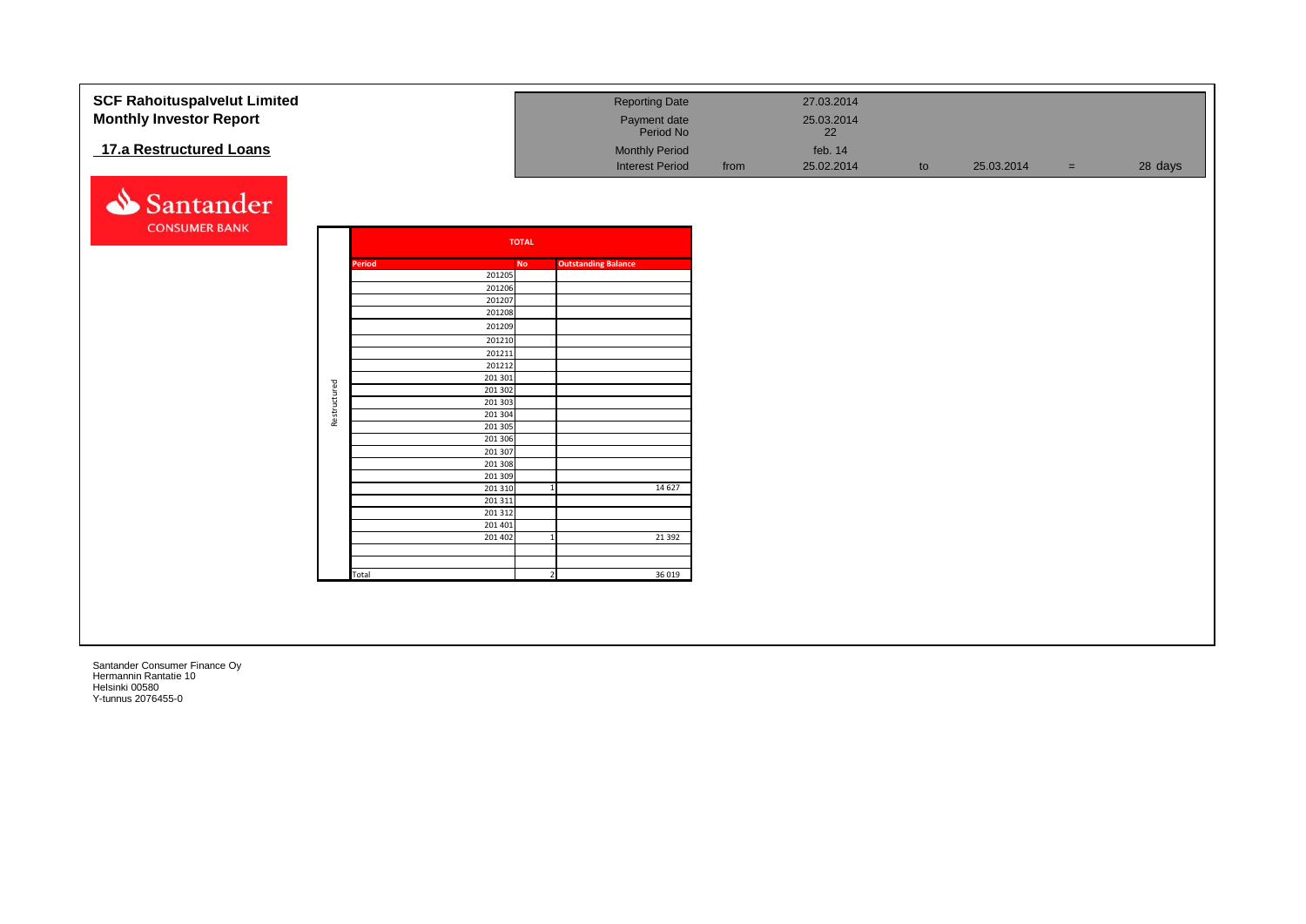| <b>SCF Rahoituspalvelut Limited</b> |              |        |                     |   | <b>Reporting Date</b>      |      | 27.03.2014 |    |            |     |         |
|-------------------------------------|--------------|--------|---------------------|---|----------------------------|------|------------|----|------------|-----|---------|
| <b>Monthly Investor Report</b>      |              |        |                     |   | Payment date               |      | 25.03.2014 |    |            |     |         |
|                                     |              |        |                     |   | Period No                  |      | 22         |    |            |     |         |
| 17.a Restructured Loans             |              |        |                     |   | <b>Monthly Period</b>      |      | feb. 14    |    |            |     |         |
|                                     |              |        |                     |   |                            |      |            |    |            |     |         |
|                                     |              |        |                     |   | <b>Interest Period</b>     | from | 25.02.2014 | to | 25.03.2014 | $=$ | 28 days |
|                                     |              |        |                     |   |                            |      |            |    |            |     |         |
| Santander                           |              |        |                     |   |                            |      |            |    |            |     |         |
| <b>CONSUMER BANK</b>                |              |        |                     |   |                            |      |            |    |            |     |         |
|                                     |              |        | <b>TOTAL</b>        |   |                            |      |            |    |            |     |         |
|                                     |              |        |                     |   |                            |      |            |    |            |     |         |
|                                     |              | Period | <b>No</b><br>201205 |   | <b>Outstanding Balance</b> |      |            |    |            |     |         |
|                                     |              |        | 201206              |   |                            |      |            |    |            |     |         |
|                                     |              |        | 201207              |   |                            |      |            |    |            |     |         |
|                                     |              |        | 201208              |   |                            |      |            |    |            |     |         |
|                                     |              |        | 201209              |   |                            |      |            |    |            |     |         |
|                                     |              |        | 201210              |   |                            |      |            |    |            |     |         |
|                                     |              |        | 201211              |   |                            |      |            |    |            |     |         |
|                                     |              |        | 201212              |   |                            |      |            |    |            |     |         |
|                                     |              |        | 201 301<br>201 302  |   |                            |      |            |    |            |     |         |
|                                     |              |        | 201 303             |   |                            |      |            |    |            |     |         |
|                                     | Restructured |        | 201 304             |   |                            |      |            |    |            |     |         |
|                                     |              |        | 201 305             |   |                            |      |            |    |            |     |         |
|                                     |              |        | 201 306             |   |                            |      |            |    |            |     |         |
|                                     |              |        | 201 307             |   |                            |      |            |    |            |     |         |
|                                     |              |        | 201 308             |   |                            |      |            |    |            |     |         |
|                                     |              |        | 201 309<br>201 310  |   | 14 6 27                    |      |            |    |            |     |         |
|                                     |              |        | 201 311             |   |                            |      |            |    |            |     |         |
|                                     |              |        | 201 312             |   |                            |      |            |    |            |     |         |
|                                     |              |        | 201 401             |   |                            |      |            |    |            |     |         |
|                                     |              |        | 201 402             |   | 21 3 92                    |      |            |    |            |     |         |
|                                     |              |        |                     |   |                            |      |            |    |            |     |         |
|                                     |              | Total  |                     | 2 | 36 019                     |      |            |    |            |     |         |
|                                     |              |        |                     |   |                            |      |            |    |            |     |         |
|                                     |              |        |                     |   |                            |      |            |    |            |     |         |
|                                     |              |        |                     |   |                            |      |            |    |            |     |         |
|                                     |              |        |                     |   |                            |      |            |    |            |     |         |
|                                     |              |        |                     |   |                            |      |            |    |            |     |         |
|                                     |              |        |                     |   |                            |      |            |    |            |     |         |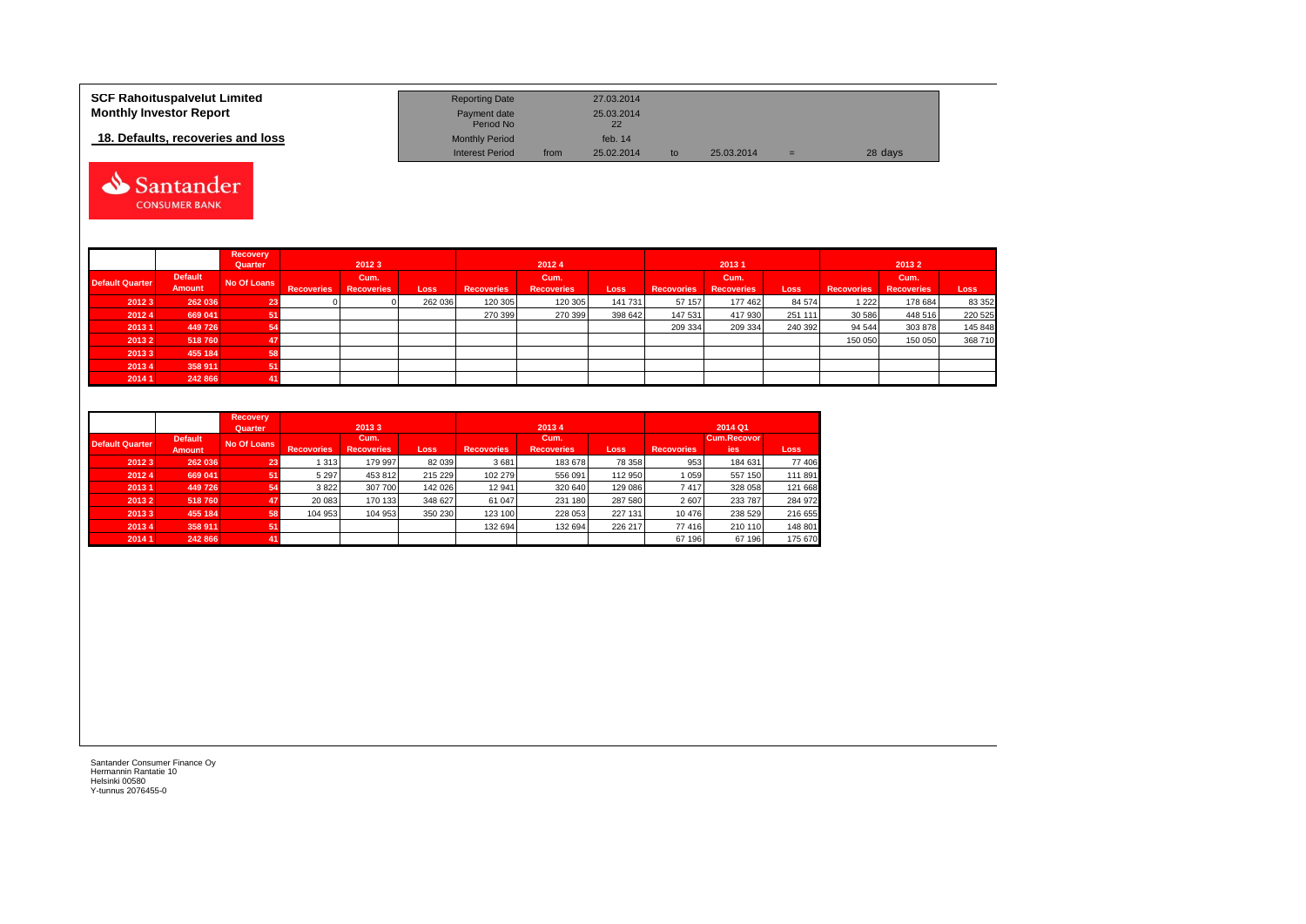| <b>SCF Rahoituspalvelut Limited</b> | <b>Reporting Date</b>     |      | 27.03.2014 |    |            |     |         |
|-------------------------------------|---------------------------|------|------------|----|------------|-----|---------|
| <b>Monthly Investor Report</b>      | Payment date<br>Period No |      | 25.03.2014 |    |            |     |         |
| 18. Defaults, recoveries and loss   | <b>Monthly Period</b>     |      | feb. 14    |    |            |     |         |
|                                     | <b>Interest Period</b>    | from | 25.02.2014 | to | 25.03.2014 | $=$ | 28 days |



|                        |                | <b>Recovery</b> |                   |                   |         |                   |                   |             |                   |                   |         |                   |                   |         |  |  |
|------------------------|----------------|-----------------|-------------------|-------------------|---------|-------------------|-------------------|-------------|-------------------|-------------------|---------|-------------------|-------------------|---------|--|--|
|                        |                | Quarter         |                   | 20123             |         |                   | 20124             |             |                   | 20131             |         |                   | 20132             |         |  |  |
| <b>Default Quarter</b> | <b>Default</b> | No Of Loans     |                   | Cum.              |         |                   | Cum.              |             |                   | Cum.              |         |                   | Cum.              |         |  |  |
|                        | Amount         |                 | <b>Recoveries</b> | <b>Recoveries</b> | Loss    | <b>Recoveries</b> | <b>Recoveries</b> | <b>Loss</b> | <b>Recovories</b> | <b>Recoveries</b> | Loss    | <b>Recovories</b> | <b>Recoveries</b> | Loss    |  |  |
| 20123                  | 262 036        | 23              |                   |                   | 262 036 | 120 305           | 120 305           | 141 731     | 57 157            | 177 462           | 84 574  | 1 2 2 2           | 178 684           | 83 352  |  |  |
| 20124                  | 669 041        |                 |                   |                   |         | 270 399           | 270 399           | 398 642     | 147 531           | 417 930           | 251 111 | 30 586            | 448 516           | 220 525 |  |  |
| 20131                  | 449726         |                 |                   |                   |         |                   |                   |             | 209 334           | 209 334           | 240 392 | 94 544            | 303 878           | 145 848 |  |  |
| 20132                  | 518760         |                 |                   |                   |         |                   |                   |             |                   |                   |         | 150 050           | 150 050           | 368 710 |  |  |
| 20133                  | 455 184        |                 |                   |                   |         |                   |                   |             |                   |                   |         |                   |                   |         |  |  |
| 20134                  | 358 911        |                 |                   |                   |         |                   |                   |             |                   |                   |         |                   |                   |         |  |  |
| 2014 1                 | 242 866        |                 |                   |                   |         |                   |                   |             |                   |                   |         |                   |                   |         |  |  |

|                        |                | <b>Recovery</b><br>Quarter |                   | 20133                     |             |                   | 20134             |         | 2014 Q1           |                    |             |  |
|------------------------|----------------|----------------------------|-------------------|---------------------------|-------------|-------------------|-------------------|---------|-------------------|--------------------|-------------|--|
| <b>Default Quarter</b> | <b>Default</b> | No Of Loans                | <b>Recovories</b> | Cum.<br><b>Recoveries</b> |             | <b>Recovories</b> | Cum.              |         | <b>Recovories</b> | <b>Cum.Recovor</b> |             |  |
|                        | <b>Amount</b>  |                            |                   |                           | <b>Loss</b> |                   | <b>Recoveries</b> | Loss    |                   | ies                | <b>Loss</b> |  |
| 20123                  | 262 036        | 23                         | 1 313             | 179 997                   | 82 039      | 3681              | 183 678           | 78 358  | 953               | 184 631            | 77 406      |  |
| 20124                  | 669 041        | 51                         | 5 2 9 7           | 453 812                   | 215 229     | 102 279           | 556 091           | 112 950 | 1059              | 557 150            | 111 891     |  |
| 20131                  | 449 726        | 54                         | 3822              | 307 700                   | 142 026     | 12 941            | 320 640           | 129 086 | 7417              | 328 058            | 121 668     |  |
| 2013 2                 | 518760         | 47                         | 20 083            | 170 133                   | 348 627     | 61 047            | 231 180           | 287 580 | 2607              | 233 787            | 284 972     |  |
| 20133                  | 455 184        | 58                         | 104 953           | 104 953                   | 350 230     | 123 100           | 228 053           | 227 131 | 10 4 76           | 238 529            | 216 655     |  |
| 20134                  | 358 911        | 51                         |                   |                           |             | 132 694           | 132 694           | 226 217 | 77416             | 210 110            | 148 801     |  |
| 2014 1                 | 242 866        | 41                         |                   |                           |             |                   |                   |         | 67 196            | 67 196             | 175 670     |  |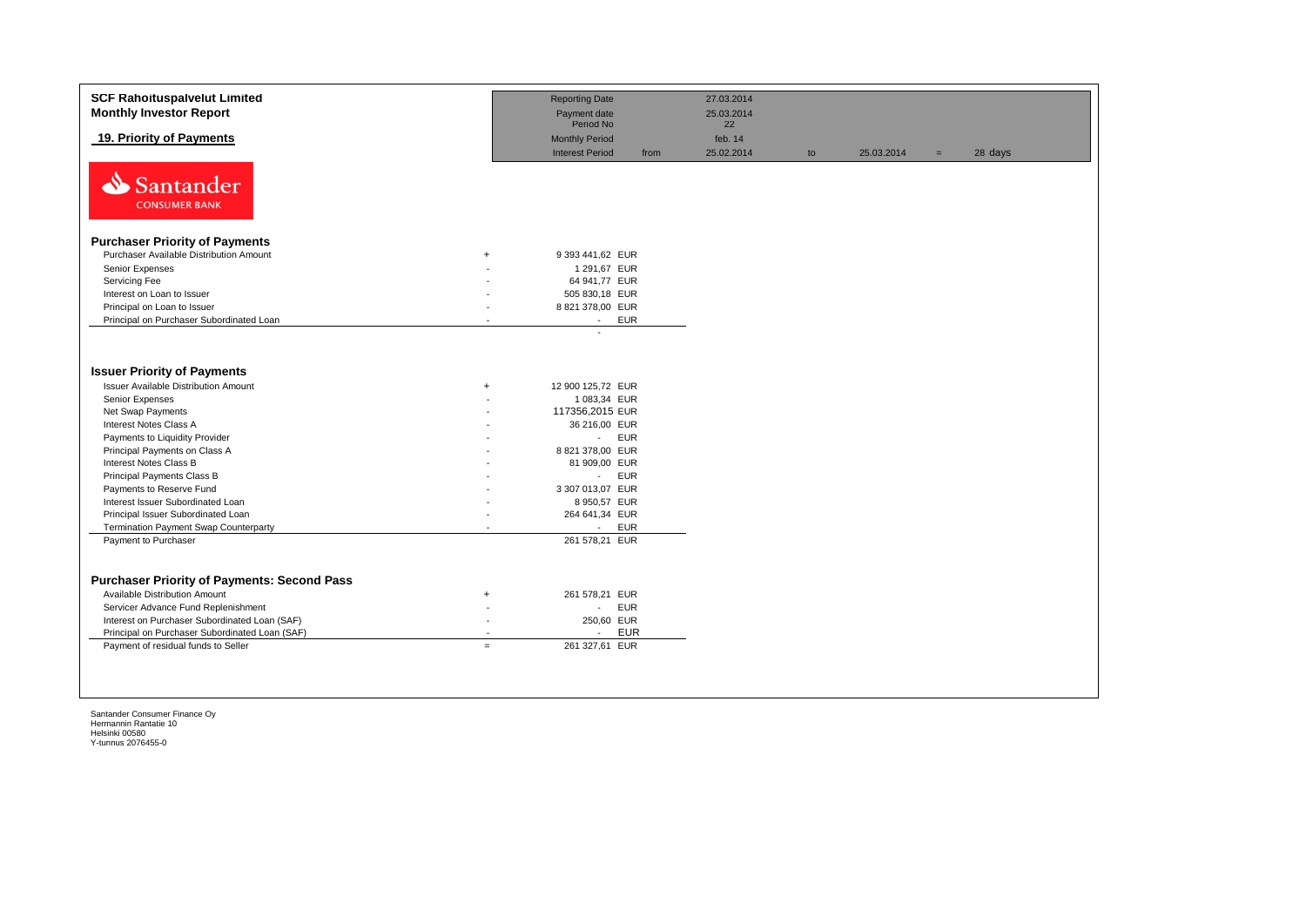| <b>SCF Rahoituspalvelut Limited</b><br><b>Monthly Investor Report</b>                                                                                                                                                                                                |                                                                         | <b>Reporting Date</b><br>Payment date<br>Period No                                                                | 27.03.2014<br>25.03.2014<br>22 |    |            |     |         |
|----------------------------------------------------------------------------------------------------------------------------------------------------------------------------------------------------------------------------------------------------------------------|-------------------------------------------------------------------------|-------------------------------------------------------------------------------------------------------------------|--------------------------------|----|------------|-----|---------|
| 19. Priority of Payments                                                                                                                                                                                                                                             |                                                                         | <b>Monthly Period</b><br><b>Interest Period</b><br>from                                                           | feb. 14<br>25.02.2014          | to | 25.03.2014 | $=$ | 28 days |
| N<br>Santander<br><b>CONSUMER BANK</b>                                                                                                                                                                                                                               |                                                                         |                                                                                                                   |                                |    |            |     |         |
| <b>Purchaser Priority of Payments</b>                                                                                                                                                                                                                                |                                                                         |                                                                                                                   |                                |    |            |     |         |
| Purchaser Available Distribution Amount                                                                                                                                                                                                                              | $+$                                                                     | 9 393 441,62 EUR                                                                                                  |                                |    |            |     |         |
| Senior Expenses                                                                                                                                                                                                                                                      |                                                                         | 1 291,67 EUR                                                                                                      |                                |    |            |     |         |
| Servicing Fee                                                                                                                                                                                                                                                        |                                                                         | 64 941,77 EUR                                                                                                     |                                |    |            |     |         |
| Interest on Loan to Issuer                                                                                                                                                                                                                                           |                                                                         | 505 830,18 EUR                                                                                                    |                                |    |            |     |         |
| Principal on Loan to Issuer                                                                                                                                                                                                                                          |                                                                         | 8 821 378,00 EUR                                                                                                  |                                |    |            |     |         |
| Principal on Purchaser Subordinated Loan                                                                                                                                                                                                                             | $\overline{a}$                                                          | <b>EUR</b><br>$\sim$                                                                                              |                                |    |            |     |         |
| <b>Issuer Priority of Payments</b><br><b>Issuer Available Distribution Amount</b><br>Senior Expenses<br>Net Swap Payments<br>Interest Notes Class A<br>Payments to Liquidity Provider<br>Principal Payments on Class A                                               | $+$                                                                     | 12 900 125,72 EUR<br>1 083,34 EUR<br>117356,2015 EUR<br>36 216,00 EUR<br><b>EUR</b><br>$\sim$<br>8 821 378,00 EUR |                                |    |            |     |         |
| <b>Interest Notes Class B</b>                                                                                                                                                                                                                                        |                                                                         | 81 909,00 EUR                                                                                                     |                                |    |            |     |         |
| Principal Payments Class B                                                                                                                                                                                                                                           |                                                                         | <b>EUR</b><br>$\mathcal{L}_{\mathcal{A}}$                                                                         |                                |    |            |     |         |
| Payments to Reserve Fund                                                                                                                                                                                                                                             |                                                                         | 3 307 013,07 EUR                                                                                                  |                                |    |            |     |         |
| Interest Issuer Subordinated Loan                                                                                                                                                                                                                                    |                                                                         | 8 950,57 EUR                                                                                                      |                                |    |            |     |         |
| Principal Issuer Subordinated Loan                                                                                                                                                                                                                                   |                                                                         | 264 641,34 EUR                                                                                                    |                                |    |            |     |         |
| <b>Termination Payment Swap Counterparty</b>                                                                                                                                                                                                                         | $\overline{a}$                                                          | <b>EUR</b><br>$\sim$                                                                                              |                                |    |            |     |         |
| Payment to Purchaser                                                                                                                                                                                                                                                 |                                                                         | 261 578,21 EUR                                                                                                    |                                |    |            |     |         |
| <b>Purchaser Priority of Payments: Second Pass</b><br>Available Distribution Amount<br>Servicer Advance Fund Replenishment<br>Interest on Purchaser Subordinated Loan (SAF)<br>Principal on Purchaser Subordinated Loan (SAF)<br>Payment of residual funds to Seller | $+$<br>$\overline{\phantom{a}}$<br>$\overline{\phantom{a}}$<br>$\equiv$ | 261 578,21 EUR<br><b>EUR</b><br>$\sim$<br>250,60 EUR<br><b>EUR</b><br>$\overline{\phantom{a}}$<br>261 327,61 EUR  |                                |    |            |     |         |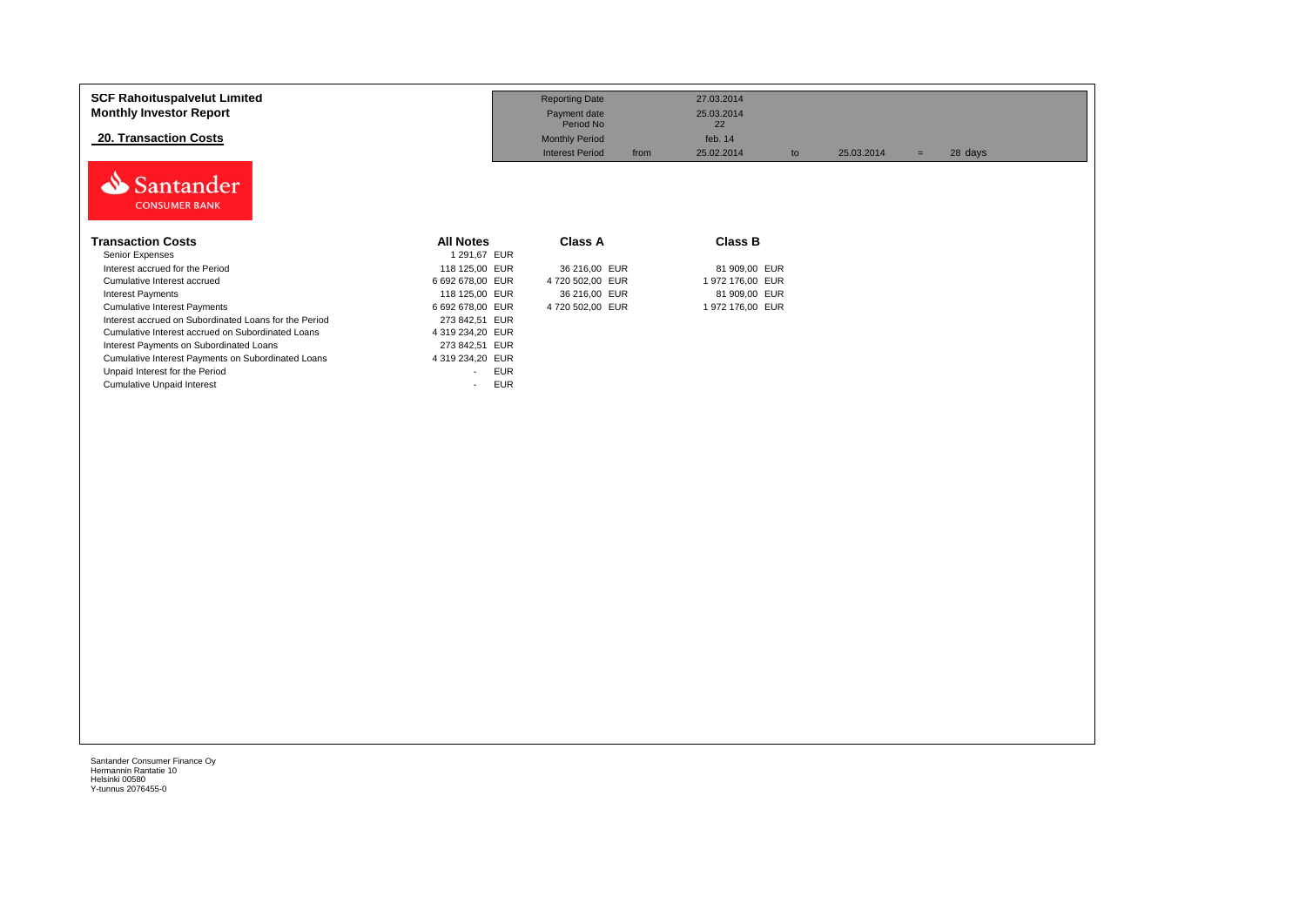| <b>SCF Rahoituspalvelut Limited</b><br><b>Monthly Investor Report</b><br>20. Transaction Costs |                                        | <b>Reporting Date</b><br>Payment date<br>Period No<br><b>Monthly Period</b> | 27.03.2014<br>25.03.2014<br>22<br>feb. 14 |                   |         |
|------------------------------------------------------------------------------------------------|----------------------------------------|-----------------------------------------------------------------------------|-------------------------------------------|-------------------|---------|
| Santander<br><b>CONSUMER BANK</b>                                                              |                                        | <b>Interest Period</b><br>from                                              | 25.02.2014<br>to                          | 25.03.2014<br>$=$ | 28 days |
| <b>Transaction Costs</b>                                                                       | <b>All Notes</b>                       | <b>Class A</b>                                                              | Class B                                   |                   |         |
| Senior Expenses                                                                                | 1 291,67 EUR                           |                                                                             |                                           |                   |         |
| Interest accrued for the Period                                                                | 118 125,00 EUR                         | 36 216,00 EUR                                                               | 81 909,00 EUR                             |                   |         |
| Cumulative Interest accrued                                                                    | 6 692 678.00 EUR                       | 4720 502.00 EUR                                                             | 1 972 176,00 EUR                          |                   |         |
| <b>Interest Payments</b>                                                                       | 118 125,00 EUR                         | 36 216,00 EUR                                                               | 81 909,00 EUR                             |                   |         |
| <b>Cumulative Interest Payments</b>                                                            | 6 692 678,00 EUR                       | 4 720 502,00 EUR                                                            | 1 972 176,00 EUR                          |                   |         |
| Interest accrued on Subordinated Loans for the Period                                          | 273 842,51 EUR                         |                                                                             |                                           |                   |         |
| Cumulative Interest accrued on Subordinated Loans                                              | 4 319 234,20 EUR                       |                                                                             |                                           |                   |         |
| Interest Payments on Subordinated Loans                                                        | 273 842,51 EUR                         |                                                                             |                                           |                   |         |
| Cumulative Interest Payments on Subordinated Loans                                             | 4 319 234,20 EUR                       |                                                                             |                                           |                   |         |
| Unpaid Interest for the Period                                                                 | <b>EUR</b><br>$\overline{\phantom{a}}$ |                                                                             |                                           |                   |         |
| <b>Cumulative Unpaid Interest</b>                                                              | <b>EUR</b><br>$\sim$                   |                                                                             |                                           |                   |         |
|                                                                                                |                                        |                                                                             |                                           |                   |         |
|                                                                                                |                                        |                                                                             |                                           |                   |         |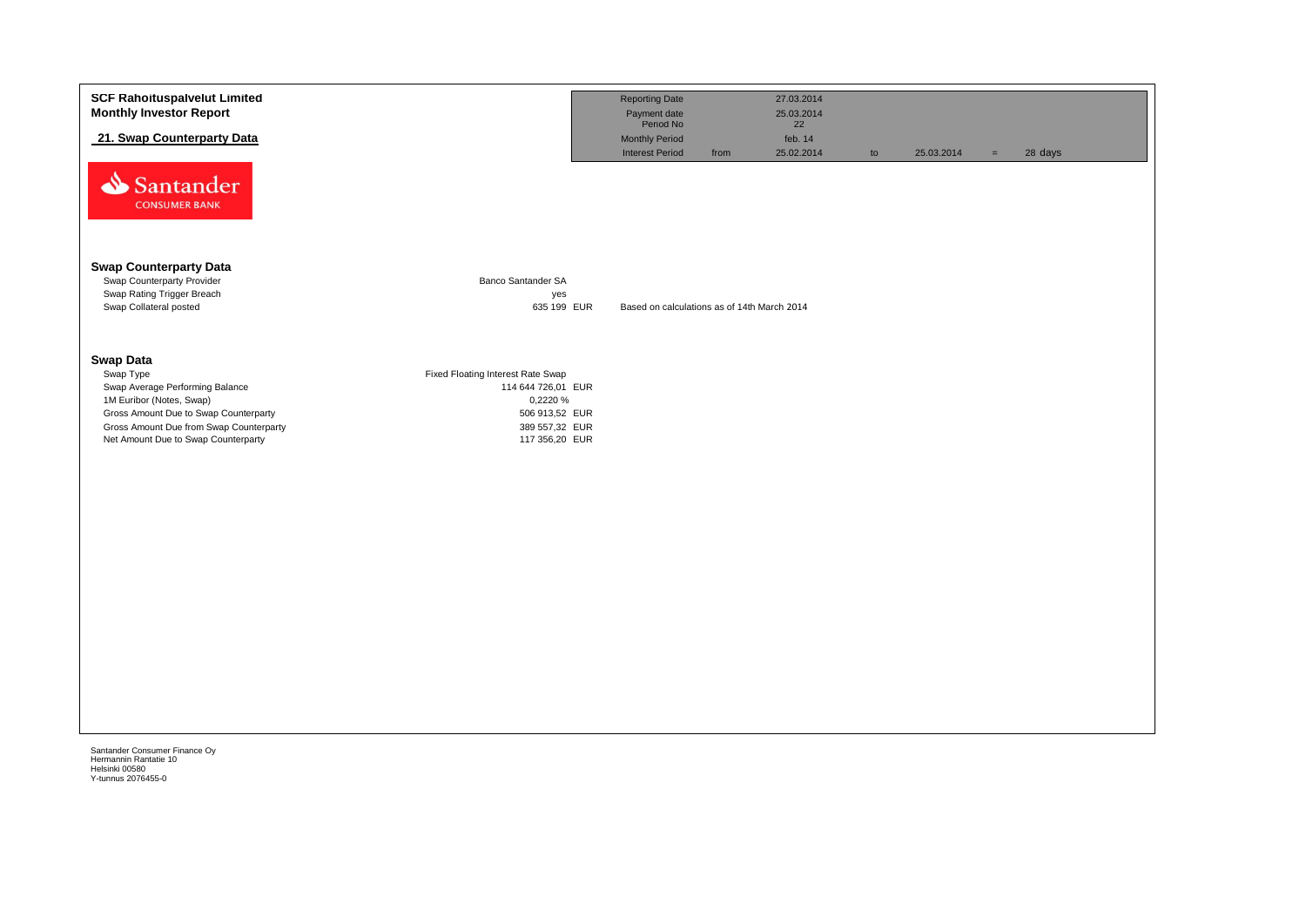| <b>SCF Rahoituspalvelut Limited</b><br><b>Monthly Investor Report</b>                                                                                                                                                   |                                                                                                                           | <b>Reporting Date</b><br>Payment date<br>Period No |      | 27.03.2014<br>25.03.2014<br>22 |    |            |     |         |
|-------------------------------------------------------------------------------------------------------------------------------------------------------------------------------------------------------------------------|---------------------------------------------------------------------------------------------------------------------------|----------------------------------------------------|------|--------------------------------|----|------------|-----|---------|
| 21. Swap Counterparty Data                                                                                                                                                                                              |                                                                                                                           | Monthly Period<br><b>Interest Period</b>           | from | feb. 14<br>25.02.2014          |    | 25.03.2014 |     | 28 days |
| Santander<br><b>CONSUMER BANK</b>                                                                                                                                                                                       |                                                                                                                           |                                                    |      |                                | to |            | $=$ |         |
| <b>Swap Counterparty Data</b><br>Swap Counterparty Provider<br>Swap Rating Trigger Breach<br>Swap Collateral posted                                                                                                     | Banco Santander SA<br>yes<br>635 199 EUR                                                                                  | Based on calculations as of 14th March 2014        |      |                                |    |            |     |         |
| <b>Swap Data</b><br>Swap Type<br>Swap Average Performing Balance<br>1M Euribor (Notes, Swap)<br>Gross Amount Due to Swap Counterparty<br>Gross Amount Due from Swap Counterparty<br>Net Amount Due to Swap Counterparty | Fixed Floating Interest Rate Swap<br>114 644 726,01 EUR<br>0,2220 %<br>506 913,52 EUR<br>389 557,32 EUR<br>117 356,20 EUR |                                                    |      |                                |    |            |     |         |
|                                                                                                                                                                                                                         |                                                                                                                           |                                                    |      |                                |    |            |     |         |

Helsinki 00580 Y-tunnus 2076455-0